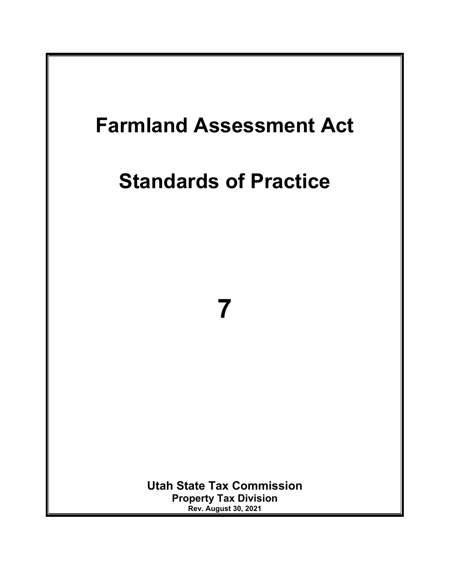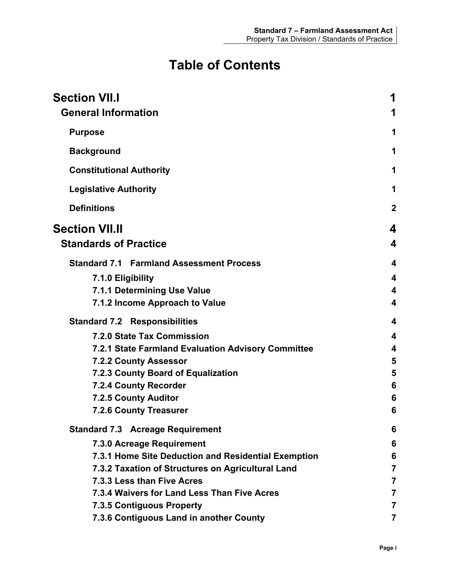# **Table of Contents**

| <b>Section VII.I</b><br><b>General Information</b>  | 1                       |
|-----------------------------------------------------|-------------------------|
|                                                     |                         |
| <b>Purpose</b>                                      | 1                       |
| <b>Background</b>                                   | 1                       |
| <b>Constitutional Authority</b>                     | 1                       |
| <b>Legislative Authority</b>                        | 1                       |
| <b>Definitions</b>                                  | $\mathbf 2$             |
| <b>Section VII.II</b>                               | 4                       |
| <b>Standards of Practice</b>                        | 4                       |
| <b>Standard 7.1 Farmland Assessment Process</b>     | 4                       |
| 7.1.0 Eligibility                                   | 4                       |
| 7.1.1 Determining Use Value                         | 4                       |
| 7.1.2 Income Approach to Value                      | 4                       |
| <b>Standard 7.2 Responsibilities</b>                | 4                       |
| 7.2.0 State Tax Commission                          | $\overline{\mathbf{4}}$ |
| 7.2.1 State Farmland Evaluation Advisory Committee  | $\overline{\mathbf{4}}$ |
| <b>7.2.2 County Assessor</b>                        | 5                       |
| 7.2.3 County Board of Equalization                  | 5                       |
| 7.2.4 County Recorder                               | 6                       |
| 7.2.5 County Auditor                                | 6                       |
| <b>7.2.6 County Treasurer</b>                       | 6                       |
| <b>Standard 7.3 Acreage Requirement</b>             | 6                       |
| 7.3.0 Acreage Requirement                           | 6                       |
| 7.3.1 Home Site Deduction and Residential Exemption | 6                       |
| 7.3.2 Taxation of Structures on Agricultural Land   | 7                       |
| 7.3.3 Less than Five Acres                          | 7                       |
| 7.3.4 Waivers for Land Less Than Five Acres         |                         |
| <b>7.3.5 Contiguous Property</b>                    | 7                       |
| 7.3.6 Contiguous Land in another County             | 7                       |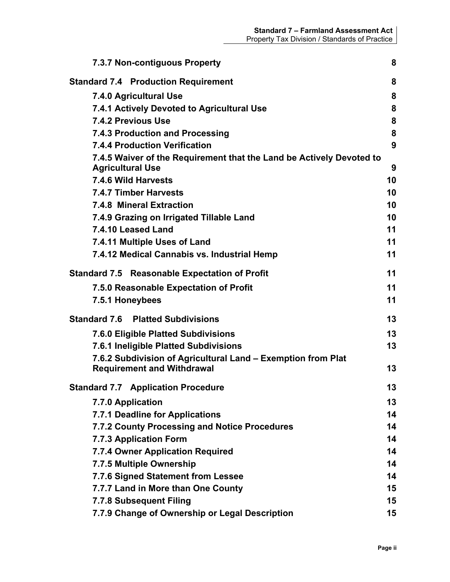| <b>7.3.7 Non-contiguous Property</b>                                 | 8  |
|----------------------------------------------------------------------|----|
| <b>Standard 7.4 Production Requirement</b>                           | 8  |
| 7.4.0 Agricultural Use                                               | 8  |
| 7.4.1 Actively Devoted to Agricultural Use                           | 8  |
| 7.4.2 Previous Use                                                   | 8  |
| 7.4.3 Production and Processing                                      | 8  |
| <b>7.4.4 Production Verification</b>                                 | 9  |
| 7.4.5 Waiver of the Requirement that the Land be Actively Devoted to |    |
| <b>Agricultural Use</b>                                              | 9  |
| 7.4.6 Wild Harvests                                                  | 10 |
| <b>7.4.7 Timber Harvests</b>                                         | 10 |
| 7.4.8 Mineral Extraction                                             | 10 |
| 7.4.9 Grazing on Irrigated Tillable Land                             | 10 |
| 7.4.10 Leased Land                                                   | 11 |
| 7.4.11 Multiple Uses of Land                                         | 11 |
| 7.4.12 Medical Cannabis vs. Industrial Hemp                          | 11 |
| <b>Standard 7.5 Reasonable Expectation of Profit</b>                 | 11 |
| 7.5.0 Reasonable Expectation of Profit                               | 11 |
| 7.5.1 Honeybees                                                      | 11 |
| <b>Standard 7.6 Platted Subdivisions</b>                             | 13 |
| 7.6.0 Eligible Platted Subdivisions                                  | 13 |
| 7.6.1 Ineligible Platted Subdivisions                                | 13 |
| 7.6.2 Subdivision of Agricultural Land – Exemption from Plat         |    |
| <b>Requirement and Withdrawal</b>                                    | 13 |
| <b>Standard 7.7 Application Procedure</b>                            | 13 |
| 7.7.0 Application                                                    | 13 |
| 7.7.1 Deadline for Applications                                      | 14 |
| 7.7.2 County Processing and Notice Procedures                        | 14 |
| 7.7.3 Application Form                                               | 14 |
| 7.7.4 Owner Application Required                                     | 14 |
| 7.7.5 Multiple Ownership                                             | 14 |
| 7.7.6 Signed Statement from Lessee                                   | 14 |
| 7.7.7 Land in More than One County                                   | 15 |
| 7.7.8 Subsequent Filing                                              | 15 |
| 7.7.9 Change of Ownership or Legal Description                       | 15 |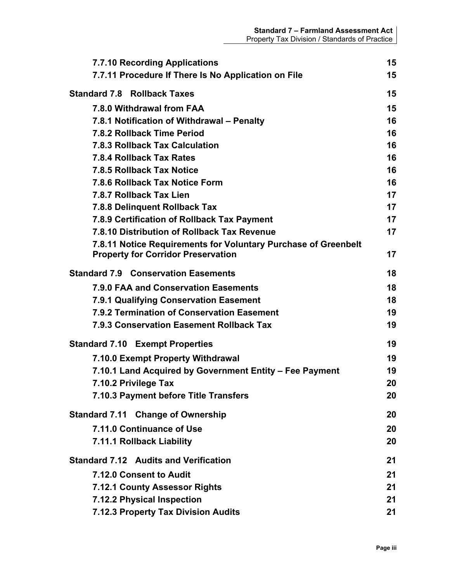| <b>7.7.10 Recording Applications</b>                           | 15 |
|----------------------------------------------------------------|----|
| 7.7.11 Procedure If There Is No Application on File            | 15 |
| <b>Standard 7.8 Rollback Taxes</b>                             | 15 |
| 7.8.0 Withdrawal from FAA                                      | 15 |
| 7.8.1 Notification of Withdrawal – Penalty                     | 16 |
| 7.8.2 Rollback Time Period                                     | 16 |
| 7.8.3 Rollback Tax Calculation                                 | 16 |
| 7.8.4 Rollback Tax Rates                                       | 16 |
| 7.8.5 Rollback Tax Notice                                      | 16 |
| 7.8.6 Rollback Tax Notice Form                                 | 16 |
| 7.8.7 Rollback Tax Lien                                        | 17 |
| 7.8.8 Delinquent Rollback Tax                                  | 17 |
| 7.8.9 Certification of Rollback Tax Payment                    | 17 |
| 7.8.10 Distribution of Rollback Tax Revenue                    | 17 |
| 7.8.11 Notice Requirements for Voluntary Purchase of Greenbelt |    |
| <b>Property for Corridor Preservation</b>                      | 17 |
| <b>Standard 7.9 Conservation Easements</b>                     | 18 |
| 7.9.0 FAA and Conservation Easements                           | 18 |
| 7.9.1 Qualifying Conservation Easement                         | 18 |
| 7.9.2 Termination of Conservation Easement                     | 19 |
| 7.9.3 Conservation Easement Rollback Tax                       | 19 |
| <b>Standard 7.10 Exempt Properties</b>                         | 19 |
| 7.10.0 Exempt Property Withdrawal                              | 19 |
| 7.10.1 Land Acquired by Government Entity - Fee Payment        | 19 |
| 7.10.2 Privilege Tax                                           | 20 |
| 7.10.3 Payment before Title Transfers                          | 20 |
| <b>Standard 7.11 Change of Ownership</b>                       | 20 |
| 7.11.0 Continuance of Use                                      | 20 |
| 7.11.1 Rollback Liability                                      | 20 |
| <b>Standard 7.12 Audits and Verification</b>                   | 21 |
| 7.12.0 Consent to Audit                                        | 21 |
| <b>7.12.1 County Assessor Rights</b>                           | 21 |
| 7.12.2 Physical Inspection                                     | 21 |
| 7.12.3 Property Tax Division Audits                            | 21 |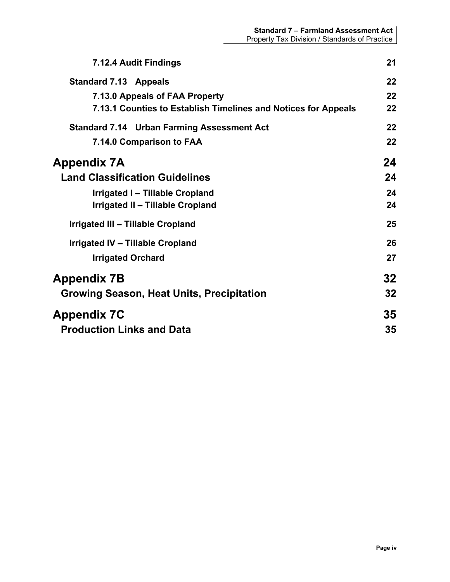| 7.12.4 Audit Findings                                          | 21 |
|----------------------------------------------------------------|----|
| <b>Standard 7.13 Appeals</b>                                   | 22 |
| 7.13.0 Appeals of FAA Property                                 | 22 |
| 7.13.1 Counties to Establish Timelines and Notices for Appeals | 22 |
| <b>Standard 7.14 Urban Farming Assessment Act</b>              | 22 |
| 7.14.0 Comparison to FAA                                       | 22 |
| Appendix 7A                                                    | 24 |
| <b>Land Classification Guidelines</b>                          | 24 |
| Irrigated I - Tillable Cropland                                | 24 |
| Irrigated II - Tillable Cropland                               | 24 |
| Irrigated III - Tillable Cropland                              | 25 |
| Irrigated IV - Tillable Cropland                               | 26 |
| <b>Irrigated Orchard</b>                                       | 27 |
| Appendix 7B                                                    | 32 |
| Growing Season, Heat Units, Precipitation                      | 32 |
| <b>Appendix 7C</b>                                             | 35 |
| <b>Production Links and Data</b>                               | 35 |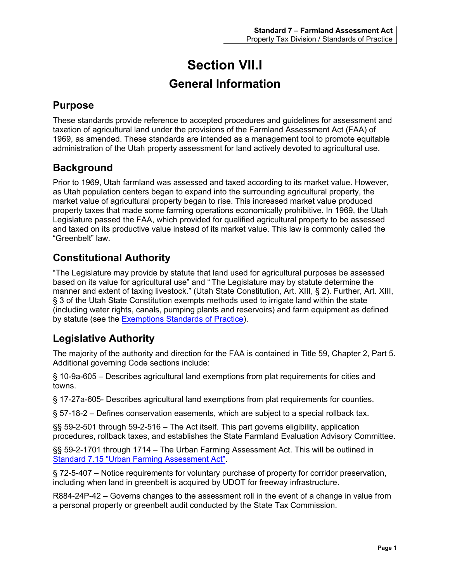# **Section VII.I General Information**

# <span id="page-5-2"></span><span id="page-5-1"></span><span id="page-5-0"></span>**Purpose**

These standards provide reference to accepted procedures and guidelines for assessment and taxation of agricultural land under the provisions of the Farmland Assessment Act (FAA) of 1969, as amended. These standards are intended as a management tool to promote equitable administration of the Utah property assessment for land actively devoted to agricultural use.

# <span id="page-5-3"></span>**Background**

Prior to 1969, Utah farmland was assessed and taxed according to its market value. However, as Utah population centers began to expand into the surrounding agricultural property, the market value of agricultural property began to rise. This increased market value produced property taxes that made some farming operations economically prohibitive. In 1969, the Utah Legislature passed the FAA, which provided for qualified agricultural property to be assessed and taxed on its productive value instead of its market value. This law is commonly called the "Greenbelt" law.

# <span id="page-5-4"></span>**Constitutional Authority**

"The Legislature may provide by statute that land used for agricultural purposes be assessed based on its value for agricultural use" and " The Legislature may by statute determine the manner and extent of taxing livestock." (Utah State Constitution, Art. XIII, § 2). Further, Art. XIII, § 3 of the Utah State Constitution exempts methods used to irrigate land within the state (including water rights, canals, pumping plants and reservoirs) and farm equipment as defined by statute (see the **Exemptions Standards of Practice**).

# <span id="page-5-5"></span>**Legislative Authority**

The majority of the authority and direction for the FAA is contained in Title 59, Chapter 2, Part 5. Additional governing Code sections include:

§ 10-9a-605 – Describes agricultural land exemptions from plat requirements for cities and towns.

§ 17-27a-605- Describes agricultural land exemptions from plat requirements for counties.

§ 57-18-2 – Defines conservation easements, which are subject to a special rollback tax.

§§ 59-2-501 through 59-2-516 - The Act itself. This part governs eligibility, application procedures, rollback taxes, and establishes the State Farmland Evaluation Advisory Committee.

§§ 59-2-1701 through 1714 – The Urban Farming Assessment Act. This will be outlined in [Standard 7.15 "Urban Farming Assessment Act".](#page-26-3)

§ 72-5-407 – Notice requirements for voluntary purchase of property for corridor preservation, including when land in greenbelt is acquired by UDOT for freeway infrastructure.

R884-24P-42 – Governs changes to the assessment roll in the event of a change in value from a personal property or greenbelt audit conducted by the State Tax Commission.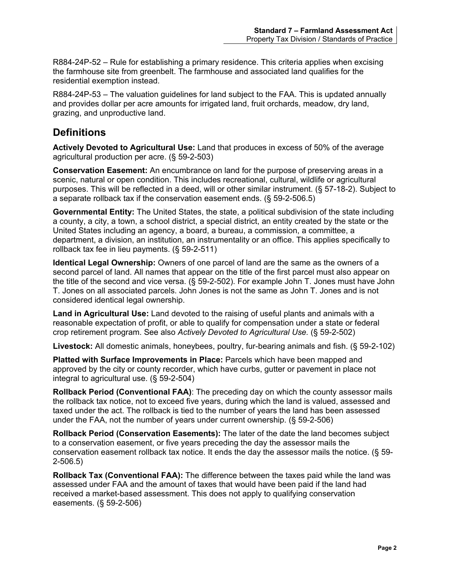R884-24P-52 – Rule for establishing a primary residence. This criteria applies when excising the farmhouse site from greenbelt. The farmhouse and associated land qualifies for the residential exemption instead.

R884-24P-53 – The valuation guidelines for land subject to the FAA. This is updated annually and provides dollar per acre amounts for irrigated land, fruit orchards, meadow, dry land, grazing, and unproductive land.

## <span id="page-6-0"></span>**Definitions**

**Actively Devoted to Agricultural Use:** Land that produces in excess of 50% of the average agricultural production per acre. (§ 59-2-503)

**Conservation Easement:** An encumbrance on land for the purpose of preserving areas in a scenic, natural or open condition. This includes recreational, cultural, wildlife or agricultural purposes. This will be reflected in a deed, will or other similar instrument. (§ 57-18-2). Subject to a separate rollback tax if the conservation easement ends. (§ 59-2-506.5)

**Governmental Entity:** The United States, the state, a political subdivision of the state including a county, a city, a town, a school district, a special district, an entity created by the state or the United States including an agency, a board, a bureau, a commission, a committee, a department, a division, an institution, an instrumentality or an office. This applies specifically to rollback tax fee in lieu payments. (§ 59-2-511)

**Identical Legal Ownership:** Owners of one parcel of land are the same as the owners of a second parcel of land. All names that appear on the title of the first parcel must also appear on the title of the second and vice versa. (§ 59-2-502). For example John T. Jones must have John T. Jones on all associated parcels. John Jones is not the same as John T. Jones and is not considered identical legal ownership.

**Land in Agricultural Use:** Land devoted to the raising of useful plants and animals with a reasonable expectation of profit, or able to qualify for compensation under a state or federal crop retirement program. See also *Actively Devoted to Agricultural Use.* (§ 59-2-502)

**Livestock:** All domestic animals, honeybees, poultry, fur-bearing animals and fish. (§ 59-2-102)

**Platted with Surface Improvements in Place:** Parcels which have been mapped and approved by the city or county recorder, which have curbs, gutter or pavement in place not integral to agricultural use. (§ 59-2-504)

**Rollback Period (Conventional FAA)**: The preceding day on which the county assessor mails the rollback tax notice, not to exceed five years, during which the land is valued, assessed and taxed under the act. The rollback is tied to the number of years the land has been assessed under the FAA, not the number of years under current ownership. (§ 59-2-506)

**Rollback Period (Conservation Easements):** The later of the date the land becomes subject to a conservation easement, or five years preceding the day the assessor mails the conservation easement rollback tax notice. It ends the day the assessor mails the notice. (§ 59- 2-506.5)

**Rollback Tax (Conventional FAA):** The difference between the taxes paid while the land was assessed under FAA and the amount of taxes that would have been paid if the land had received a market-based assessment. This does not apply to qualifying conservation easements. (§ 59-2-506)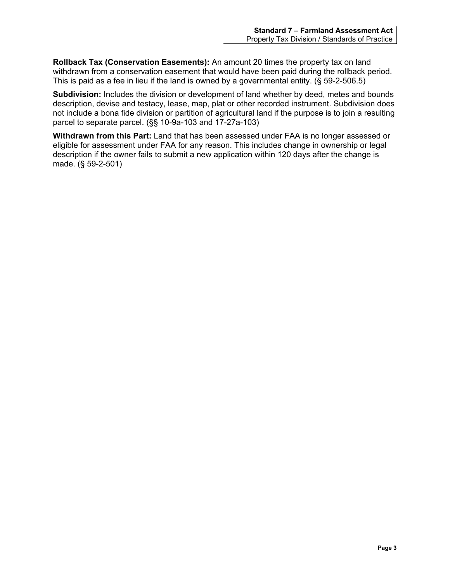**Rollback Tax (Conservation Easements):** An amount 20 times the property tax on land withdrawn from a conservation easement that would have been paid during the rollback period. This is paid as a fee in lieu if the land is owned by a governmental entity. (§ 59-2-506.5)

**Subdivision:** Includes the division or development of land whether by deed, metes and bounds description, devise and testacy, lease, map, plat or other recorded instrument. Subdivision does not include a bona fide division or partition of agricultural land if the purpose is to join a resulting parcel to separate parcel. (§§ 10-9a-103 and 17-27a-103)

**Withdrawn from this Part:** Land that has been assessed under FAA is no longer assessed or eligible for assessment under FAA for any reason. This includes change in ownership or legal description if the owner fails to submit a new application within 120 days after the change is made. (§ 59-2-501)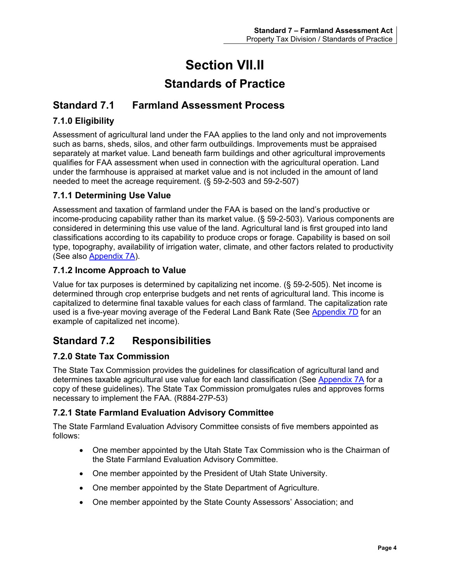# **Section VII.II**

# **Standards of Practice**

# <span id="page-8-2"></span><span id="page-8-1"></span><span id="page-8-0"></span>**Standard 7.1 Farmland Assessment Process**

## <span id="page-8-3"></span>**7.1.0 Eligibility**

Assessment of agricultural land under the FAA applies to the land only and not improvements such as barns, sheds, silos, and other farm outbuildings. Improvements must be appraised separately at market value. Land beneath farm buildings and other agricultural improvements qualifies for FAA assessment when used in connection with the agricultural operation. Land under the farmhouse is appraised at market value and is not included in the amount of land needed to meet the acreage requirement. (§ 59-2-503 and 59-2-507)

## <span id="page-8-4"></span>**7.1.1 Determining Use Value**

Assessment and taxation of farmland under the FAA is based on the land's productive or income-producing capability rather than its market value. (§ 59-2-503). Various components are considered in determining this use value of the land. Agricultural land is first grouped into land classifications according to its capability to produce crops or forage. Capability is based on soil type, topography, availability of irrigation water, climate, and other factors related to productivity (See also [Appendix 7A\)](#page-27-0).

## <span id="page-8-5"></span>**7.1.2 Income Approach to Value**

Value for tax purposes is determined by capitalizing net income. (§ 59-2-505). Net income is determined through crop enterprise budgets and net rents of agricultural land. This income is capitalized to determine final taxable values for each class of farmland. The capitalization rate used is a five-year moving average of the Federal Land Bank Rate (See [Appendix 7D](#page-40-0) for an example of capitalized net income).

# <span id="page-8-6"></span>**Standard 7.2 Responsibilities**

## <span id="page-8-7"></span>**7.2.0 State Tax Commission**

The State Tax Commission provides the guidelines for classification of agricultural land and determines taxable agricultural use value for each land classification (See [Appendix 7A](#page-27-0) for a copy of these guidelines). The State Tax Commission promulgates rules and approves forms necessary to implement the FAA. (R884-27P-53)

## <span id="page-8-8"></span>**7.2.1 State Farmland Evaluation Advisory Committee**

The State Farmland Evaluation Advisory Committee consists of five members appointed as follows:

- One member appointed by the Utah State Tax Commission who is the Chairman of the State Farmland Evaluation Advisory Committee.
- One member appointed by the President of Utah State University.
- One member appointed by the State Department of Agriculture.
- One member appointed by the State County Assessors' Association; and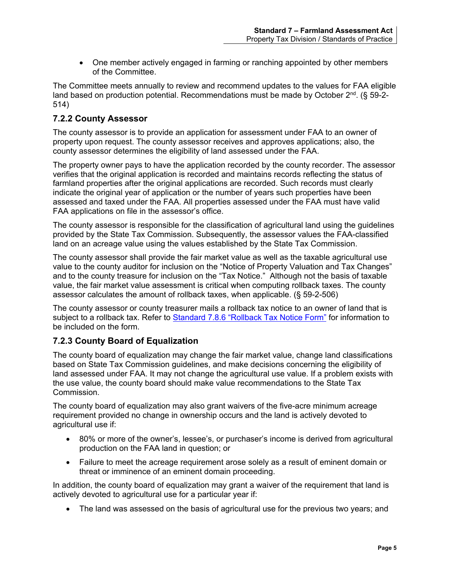• One member actively engaged in farming or ranching appointed by other members of the Committee.

The Committee meets annually to review and recommend updates to the values for FAA eligible land based on production potential. Recommendations must be made by October  $2<sup>nd</sup>$ . (§ 59-2-514)

## <span id="page-9-0"></span>**7.2.2 County Assessor**

The county assessor is to provide an application for assessment under FAA to an owner of property upon request. The county assessor receives and approves applications; also, the county assessor determines the eligibility of land assessed under the FAA.

The property owner pays to have the application recorded by the county recorder. The assessor verifies that the original application is recorded and maintains records reflecting the status of farmland properties after the original applications are recorded. Such records must clearly indicate the original year of application or the number of years such properties have been assessed and taxed under the FAA. All properties assessed under the FAA must have valid FAA applications on file in the assessor's office.

The county assessor is responsible for the classification of agricultural land using the guidelines provided by the State Tax Commission. Subsequently, the assessor values the FAA-classified land on an acreage value using the values established by the State Tax Commission.

The county assessor shall provide the fair market value as well as the taxable agricultural use value to the county auditor for inclusion on the "Notice of Property Valuation and Tax Changes" and to the county treasure for inclusion on the "Tax Notice." Although not the basis of taxable value, the fair market value assessment is critical when computing rollback taxes. The county assessor calculates the amount of rollback taxes, when applicable. (§ 59-2-506)

The county assessor or county treasurer mails a rollback tax notice to an owner of land that is subject to a rollback tax. Refer to [Standard 7.8.6 "Rollback Tax Notice Form"](#page-20-5) for information to be included on the form.

## <span id="page-9-1"></span>**7.2.3 County Board of Equalization**

The county board of equalization may change the fair market value, change land classifications based on State Tax Commission guidelines, and make decisions concerning the eligibility of land assessed under FAA. It may not change the agricultural use value. If a problem exists with the use value, the county board should make value recommendations to the State Tax Commission.

The county board of equalization may also grant waivers of the five-acre minimum acreage requirement provided no change in ownership occurs and the land is actively devoted to agricultural use if:

- 80% or more of the owner's, lessee's, or purchaser's income is derived from agricultural production on the FAA land in question; or
- Failure to meet the acreage requirement arose solely as a result of eminent domain or threat or imminence of an eminent domain proceeding.

In addition, the county board of equalization may grant a waiver of the requirement that land is actively devoted to agricultural use for a particular year if:

• The land was assessed on the basis of agricultural use for the previous two years; and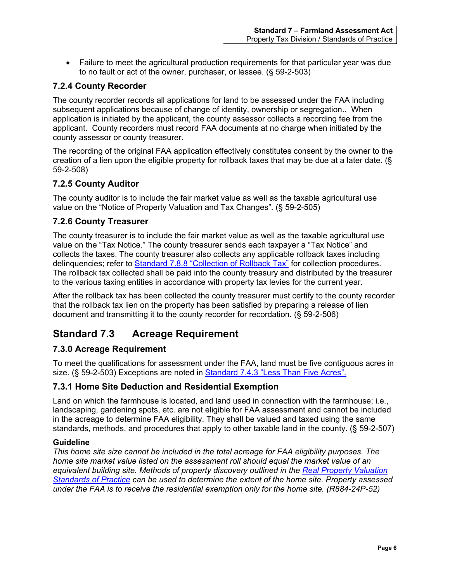• Failure to meet the agricultural production requirements for that particular year was due to no fault or act of the owner, purchaser, or lessee. (§ 59-2-503)

## <span id="page-10-0"></span>**7.2.4 County Recorder**

The county recorder records all applications for land to be assessed under the FAA including subsequent applications because of change of identity, ownership or segregation.. When application is initiated by the applicant, the county assessor collects a recording fee from the applicant. County recorders must record FAA documents at no charge when initiated by the county assessor or county treasurer.

The recording of the original FAA application effectively constitutes consent by the owner to the creation of a lien upon the eligible property for rollback taxes that may be due at a later date. (§ 59-2-508)

## <span id="page-10-1"></span>**7.2.5 County Auditor**

The county auditor is to include the fair market value as well as the taxable agricultural use value on the "Notice of Property Valuation and Tax Changes". (§ 59-2-505)

## <span id="page-10-2"></span>**7.2.6 County Treasurer**

The county treasurer is to include the fair market value as well as the taxable agricultural use value on the "Tax Notice." The county treasurer sends each taxpayer a "Tax Notice" and collects the taxes. The county treasurer also collects any applicable rollback taxes including delinquencies; refer to [Standard 7.8.8 "Collection of Rollback Tax"](#page-21-1) for collection procedures. The rollback tax collected shall be paid into the county treasury and distributed by the treasurer to the various taxing entities in accordance with property tax levies for the current year.

After the rollback tax has been collected the county treasurer must certify to the county recorder that the rollback tax lien on the property has been satisfied by preparing a release of lien document and transmitting it to the county recorder for recordation. (§ 59-2-506)

# <span id="page-10-3"></span>**Standard 7.3 Acreage Requirement**

## <span id="page-10-4"></span>**7.3.0 Acreage Requirement**

To meet the qualifications for assessment under the FAA, land must be five contiguous acres in size. (§ 59-2-503) Exceptions are noted in Standard 7.4.3 ["Less Than Five Acres".](#page-11-1)

## <span id="page-10-5"></span>**7.3.1 Home Site Deduction and Residential Exemption**

Land on which the farmhouse is located, and land used in connection with the farmhouse; i.e., landscaping, gardening spots, etc. are not eligible for FAA assessment and cannot be included in the acreage to determine FAA eligibility. They shall be valued and taxed using the same standards, methods, and procedures that apply to other taxable land in the county. (§ 59-2-507)

#### **Guideline**

*This home site size cannot be included in the total acreage for FAA eligibility purposes. The home site market value listed on the assessment roll should equal the market value of an equivalent building site. Methods of property discovery outlined in the [Real Property Valuation](https://propertytax.utah.gov/standards/standard06.pdf)  [Standards of Practice](https://propertytax.utah.gov/standards/standard06.pdf) can be used to determine the extent of the home site. Property assessed under the FAA is to receive the residential exemption only for the home site. (R884-24P-52)*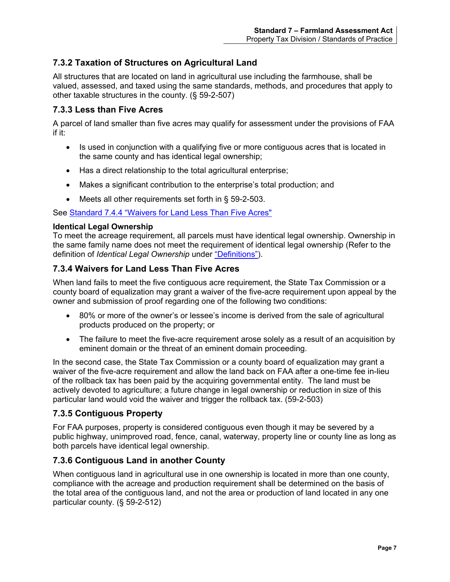## <span id="page-11-0"></span>**7.3.2 Taxation of Structures on Agricultural Land**

All structures that are located on land in agricultural use including the farmhouse, shall be valued, assessed, and taxed using the same standards, methods, and procedures that apply to other taxable structures in the county. (§ 59-2-507)

## <span id="page-11-1"></span>**7.3.3 Less than Five Acres**

A parcel of land smaller than five acres may qualify for assessment under the provisions of FAA if it:

- Is used in conjunction with a qualifying five or more contiguous acres that is located in the same county and has identical legal ownership;
- Has a direct relationship to the total agricultural enterprise;
- Makes a significant contribution to the enterprise's total production; and
- Meets all other requirements set forth in § 59-2-503.

See [Standard 7.4.4 "Waivers for Land Less Than Five Acres"](#page-11-2)

#### **Identical Legal Ownership**

To meet the acreage requirement, all parcels must have identical legal ownership. Ownership in the same family name does not meet the requirement of identical legal ownership (Refer to the definition of *Identical Legal Ownership* under ["Definitions"\)](#page-6-0).

## <span id="page-11-2"></span>**7.3.4 Waivers for Land Less Than Five Acres**

When land fails to meet the five contiguous acre requirement, the State Tax Commission or a county board of equalization may grant a waiver of the five-acre requirement upon appeal by the owner and submission of proof regarding one of the following two conditions:

- 80% or more of the owner's or lessee's income is derived from the sale of agricultural products produced on the property; or
- The failure to meet the five-acre requirement arose solely as a result of an acquisition by eminent domain or the threat of an eminent domain proceeding.

In the second case, the State Tax Commission or a county board of equalization may grant a waiver of the five-acre requirement and allow the land back on FAA after a one-time fee in-lieu of the rollback tax has been paid by the acquiring governmental entity. The land must be actively devoted to agriculture; a future change in legal ownership or reduction in size of this particular land would void the waiver and trigger the rollback tax. (59-2-503)

## <span id="page-11-3"></span>**7.3.5 Contiguous Property**

For FAA purposes, property is considered contiguous even though it may be severed by a public highway, unimproved road, fence, canal, waterway, property line or county line as long as both parcels have identical legal ownership.

## <span id="page-11-4"></span>**7.3.6 Contiguous Land in another County**

When contiguous land in agricultural use in one ownership is located in more than one county, compliance with the acreage and production requirement shall be determined on the basis of the total area of the contiguous land, and not the area or production of land located in any one particular county. (§ 59-2-512)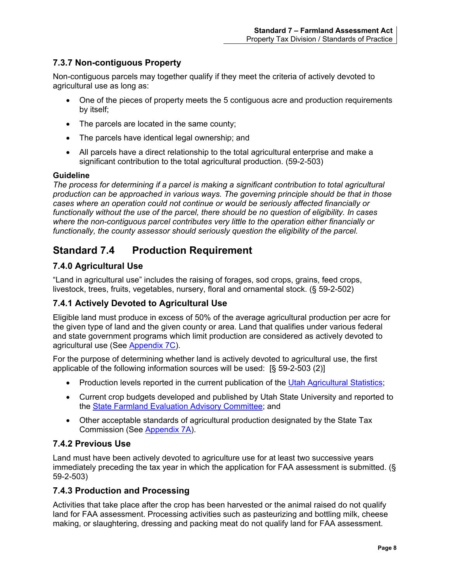## <span id="page-12-0"></span>**7.3.7 Non-contiguous Property**

Non-contiguous parcels may together qualify if they meet the criteria of actively devoted to agricultural use as long as:

- One of the pieces of property meets the 5 contiguous acre and production requirements by itself;
- The parcels are located in the same county;
- The parcels have identical legal ownership; and
- All parcels have a direct relationship to the total agricultural enterprise and make a significant contribution to the total agricultural production. (59-2-503)

#### **Guideline**

*The process for determining if a parcel is making a significant contribution to total agricultural production can be approached in various ways. The governing principle should be that in those cases where an operation could not continue or would be seriously affected financially or functionally without the use of the parcel, there should be no question of eligibility. In cases where the non-contiguous parcel contributes very little to the operation either financially or functionally, the county assessor should seriously question the eligibility of the parcel.*

# <span id="page-12-1"></span>**Standard 7.4 Production Requirement**

## <span id="page-12-2"></span>**7.4.0 Agricultural Use**

"Land in agricultural use" includes the raising of forages, sod crops, grains, feed crops, livestock, trees, fruits, vegetables, nursery, floral and ornamental stock. (§ 59-2-502)

## <span id="page-12-3"></span>**7.4.1 Actively Devoted to Agricultural Use**

Eligible land must produce in excess of 50% of the average agricultural production per acre for the given type of land and the given county or area. Land that qualifies under various federal and state government programs which limit production are considered as actively devoted to agricultural use (See [Appendix 7C\)](#page-39-0).

For the purpose of determining whether land is actively devoted to agricultural use, the first applicable of the following information sources will be used: [§ 59-2-503 (2)]

- Production levels reported in the current publication of the [Utah Agricultural Statistics;](https://www.nass.usda.gov/Statistics_by_State/Utah/)
- Current crop budgets developed and published by Utah State University and reported to the State Farmland Evaluation [Advisory Committee;](https://tax.utah.gov/commission-office/farmland) and
- Other acceptable standards of agricultural production designated by the State Tax Commission (See [Appendix 7A\)](#page-27-0).

## <span id="page-12-4"></span>**7.4.2 Previous Use**

Land must have been actively devoted to agriculture use for at least two successive years immediately preceding the tax year in which the application for FAA assessment is submitted. (§ 59-2-503)

## <span id="page-12-5"></span>**7.4.3 Production and Processing**

Activities that take place after the crop has been harvested or the animal raised do not qualify land for FAA assessment. Processing activities such as pasteurizing and bottling milk, cheese making, or slaughtering, dressing and packing meat do not qualify land for FAA assessment.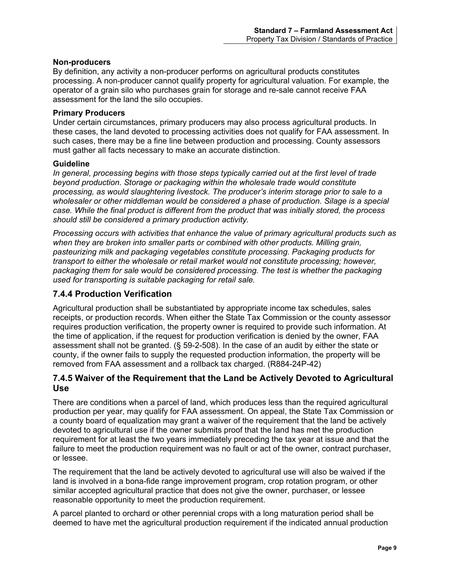#### **Non-producers**

By definition, any activity a non-producer performs on agricultural products constitutes processing. A non-producer cannot qualify property for agricultural valuation. For example, the operator of a grain silo who purchases grain for storage and re-sale cannot receive FAA assessment for the land the silo occupies.

#### **Primary Producers**

Under certain circumstances, primary producers may also process agricultural products. In these cases, the land devoted to processing activities does not qualify for FAA assessment. In such cases, there may be a fine line between production and processing. County assessors must gather all facts necessary to make an accurate distinction.

#### **Guideline**

*In general, processing begins with those steps typically carried out at the first level of trade beyond production. Storage or packaging within the wholesale trade would constitute processing, as would slaughtering livestock. The producer's interim storage prior to sale to a wholesaler or other middleman would be considered a phase of production. Silage is a special case. While the final product is different from the product that was initially stored, the process should still be considered a primary production activity.*

*Processing occurs with activities that enhance the value of primary agricultural products such as when they are broken into smaller parts or combined with other products. Milling grain, pasteurizing milk and packaging vegetables constitute processing. Packaging products for transport to either the wholesale or retail market would not constitute processing; however, packaging them for sale would be considered processing. The test is whether the packaging used for transporting is suitable packaging for retail sale.*

## <span id="page-13-0"></span>**7.4.4 Production Verification**

Agricultural production shall be substantiated by appropriate income tax schedules, sales receipts, or production records. When either the State Tax Commission or the county assessor requires production verification, the property owner is required to provide such information. At the time of application, if the request for production verification is denied by the owner, FAA assessment shall not be granted. (§ 59-2-508). In the case of an audit by either the state or county, if the owner fails to supply the requested production information, the property will be removed from FAA assessment and a rollback tax charged. (R884-24P-42)

### <span id="page-13-1"></span>**7.4.5 Waiver of the Requirement that the Land be Actively Devoted to Agricultural Use**

There are conditions when a parcel of land, which produces less than the required agricultural production per year, may qualify for FAA assessment. On appeal, the State Tax Commission or a county board of equalization may grant a waiver of the requirement that the land be actively devoted to agricultural use if the owner submits proof that the land has met the production requirement for at least the two years immediately preceding the tax year at issue and that the failure to meet the production requirement was no fault or act of the owner, contract purchaser, or lessee.

The requirement that the land be actively devoted to agricultural use will also be waived if the land is involved in a bona-fide range improvement program, crop rotation program, or other similar accepted agricultural practice that does not give the owner, purchaser, or lessee reasonable opportunity to meet the production requirement.

A parcel planted to orchard or other perennial crops with a long maturation period shall be deemed to have met the agricultural production requirement if the indicated annual production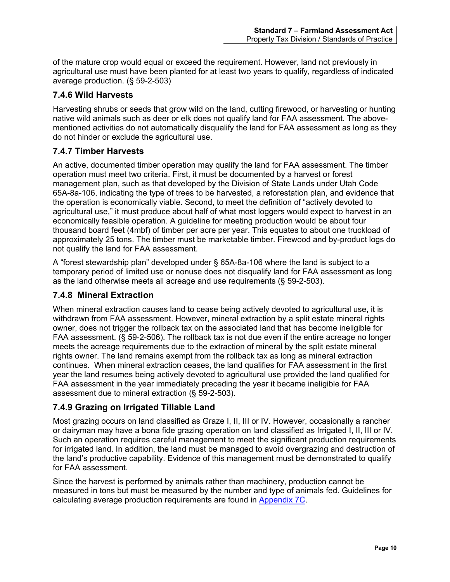of the mature crop would equal or exceed the requirement. However, land not previously in agricultural use must have been planted for at least two years to qualify, regardless of indicated average production. (§ 59-2-503)

## <span id="page-14-0"></span>**7.4.6 Wild Harvests**

Harvesting shrubs or seeds that grow wild on the land, cutting firewood, or harvesting or hunting native wild animals such as deer or elk does not qualify land for FAA assessment. The abovementioned activities do not automatically disqualify the land for FAA assessment as long as they do not hinder or exclude the agricultural use.

## <span id="page-14-1"></span>**7.4.7 Timber Harvests**

An active, documented timber operation may qualify the land for FAA assessment. The timber operation must meet two criteria. First, it must be documented by a harvest or forest management plan, such as that developed by the Division of State Lands under Utah Code 65A-8a-106, indicating the type of trees to be harvested, a reforestation plan, and evidence that the operation is economically viable. Second, to meet the definition of "actively devoted to agricultural use," it must produce about half of what most loggers would expect to harvest in an economically feasible operation. A guideline for meeting production would be about four thousand board feet (4mbf) of timber per acre per year. This equates to about one truckload of approximately 25 tons. The timber must be marketable timber. Firewood and by-product logs do not qualify the land for FAA assessment.

A "forest stewardship plan" developed under § 65A-8a-106 where the land is subject to a temporary period of limited use or nonuse does not disqualify land for FAA assessment as long as the land otherwise meets all acreage and use requirements (§ 59-2-503).

## <span id="page-14-2"></span>**7.4.8 Mineral Extraction**

When mineral extraction causes land to cease being actively devoted to agricultural use, it is withdrawn from FAA assessment. However, mineral extraction by a split estate mineral rights owner, does not trigger the rollback tax on the associated land that has become ineligible for FAA assessment. (§ 59-2-506). The rollback tax is not due even if the entire acreage no longer meets the acreage requirements due to the extraction of mineral by the split estate mineral rights owner. The land remains exempt from the rollback tax as long as mineral extraction continues. When mineral extraction ceases, the land qualifies for FAA assessment in the first year the land resumes being actively devoted to agricultural use provided the land qualified for FAA assessment in the year immediately preceding the year it became ineligible for FAA assessment due to mineral extraction (§ 59-2-503).

## <span id="page-14-3"></span>**7.4.9 Grazing on Irrigated Tillable Land**

Most grazing occurs on land classified as Graze I, II, III or IV. However, occasionally a rancher or dairyman may have a bona fide grazing operation on land classified as Irrigated I, II, III or IV. Such an operation requires careful management to meet the significant production requirements for irrigated land. In addition, the land must be managed to avoid overgrazing and destruction of the land's productive capability. Evidence of this management must be demonstrated to qualify for FAA assessment.

Since the harvest is performed by animals rather than machinery, production cannot be measured in tons but must be measured by the number and type of animals fed. Guidelines for calculating average production requirements are found in [Appendix 7C.](#page-39-0)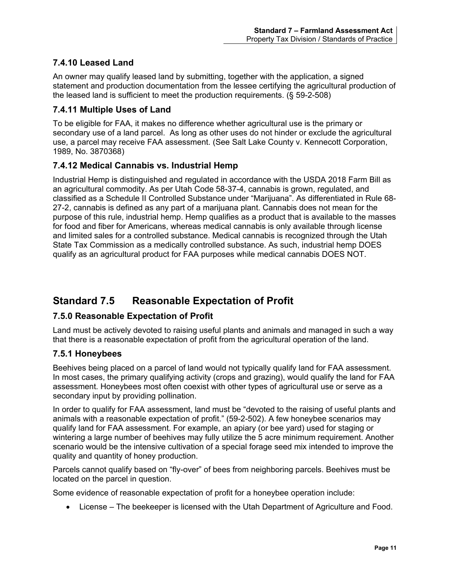## <span id="page-15-0"></span>**7.4.10 Leased Land**

An owner may qualify leased land by submitting, together with the application, a signed statement and production documentation from the lessee certifying the agricultural production of the leased land is sufficient to meet the production requirements. (§ 59-2-508)

## <span id="page-15-1"></span>**7.4.11 Multiple Uses of Land**

To be eligible for FAA, it makes no difference whether agricultural use is the primary or secondary use of a land parcel. As long as other uses do not hinder or exclude the agricultural use, a parcel may receive FAA assessment. (See Salt Lake County v. Kennecott Corporation, 1989, No. 3870368)

## <span id="page-15-2"></span>**7.4.12 Medical Cannabis vs. Industrial Hemp**

Industrial Hemp is distinguished and regulated in accordance with the USDA 2018 Farm Bill as an agricultural commodity. As per Utah Code 58-37-4, cannabis is grown, regulated, and classified as a Schedule II Controlled Substance under "Marijuana". As differentiated in Rule 68- 27-2, cannabis is defined as any part of a marijuana plant. Cannabis does not mean for the purpose of this rule, industrial hemp. Hemp qualifies as a product that is available to the masses for food and fiber for Americans, whereas medical cannabis is only available through license and limited sales for a controlled substance. Medical cannabis is recognized through the Utah State Tax Commission as a medically controlled substance. As such, industrial hemp DOES qualify as an agricultural product for FAA purposes while medical cannabis DOES NOT.

# <span id="page-15-3"></span>**Standard 7.5 Reasonable Expectation of Profit**

## <span id="page-15-4"></span>**7.5.0 Reasonable Expectation of Profit**

Land must be actively devoted to raising useful plants and animals and managed in such a way that there is a reasonable expectation of profit from the agricultural operation of the land.

## <span id="page-15-5"></span>**7.5.1 Honeybees**

Beehives being placed on a parcel of land would not typically qualify land for FAA assessment. In most cases, the primary qualifying activity (crops and grazing), would qualify the land for FAA assessment. Honeybees most often coexist with other types of agricultural use or serve as a secondary input by providing pollination.

In order to qualify for FAA assessment, land must be "devoted to the raising of useful plants and animals with a reasonable expectation of profit." (59-2-502). A few honeybee scenarios may qualify land for FAA assessment. For example, an apiary (or bee yard) used for staging or wintering a large number of beehives may fully utilize the 5 acre minimum requirement. Another scenario would be the intensive cultivation of a special forage seed mix intended to improve the quality and quantity of honey production.

Parcels cannot qualify based on "fly-over" of bees from neighboring parcels. Beehives must be located on the parcel in question.

Some evidence of reasonable expectation of profit for a honeybee operation include:

• License – The beekeeper is licensed with the Utah Department of Agriculture and Food.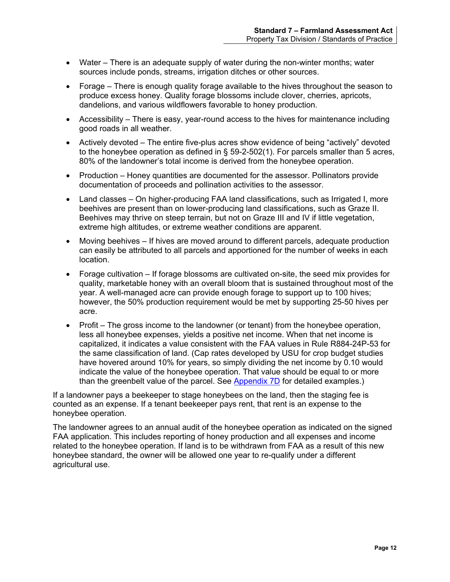- Water There is an adequate supply of water during the non-winter months; water sources include ponds, streams, irrigation ditches or other sources.
- Forage There is enough quality forage available to the hives throughout the season to produce excess honey. Quality forage blossoms include clover, cherries, apricots, dandelions, and various wildflowers favorable to honey production.
- Accessibility There is easy, year-round access to the hives for maintenance including good roads in all weather.
- Actively devoted The entire five-plus acres show evidence of being "actively" devoted to the honeybee operation as defined in § 59-2-502(1). For parcels smaller than 5 acres, 80% of the landowner's total income is derived from the honeybee operation.
- Production Honey quantities are documented for the assessor. Pollinators provide documentation of proceeds and pollination activities to the assessor.
- Land classes On higher-producing FAA land classifications, such as Irrigated I, more beehives are present than on lower-producing land classifications, such as Graze II. Beehives may thrive on steep terrain, but not on Graze III and IV if little vegetation, extreme high altitudes, or extreme weather conditions are apparent.
- Moving beehives If hives are moved around to different parcels, adequate production can easily be attributed to all parcels and apportioned for the number of weeks in each location.
- Forage cultivation If forage blossoms are cultivated on-site, the seed mix provides for quality, marketable honey with an overall bloom that is sustained throughout most of the year. A well-managed acre can provide enough forage to support up to 100 hives; however, the 50% production requirement would be met by supporting 25-50 hives per acre.
- Profit The gross income to the landowner (or tenant) from the honeybee operation, less all honeybee expenses, yields a positive net income. When that net income is capitalized, it indicates a value consistent with the FAA values in Rule R884-24P-53 for the same classification of land. (Cap rates developed by USU for crop budget studies have hovered around 10% for years, so simply dividing the net income by 0.10 would indicate the value of the honeybee operation. That value should be equal to or more than the greenbelt value of the parcel. See [Appendix 7D](#page-40-0) for detailed examples.)

If a landowner pays a beekeeper to stage honeybees on the land, then the staging fee is counted as an expense. If a tenant beekeeper pays rent, that rent is an expense to the honeybee operation.

The landowner agrees to an annual audit of the honeybee operation as indicated on the signed FAA application. This includes reporting of honey production and all expenses and income related to the honeybee operation. If land is to be withdrawn from FAA as a result of this new honeybee standard, the owner will be allowed one year to re-qualify under a different agricultural use.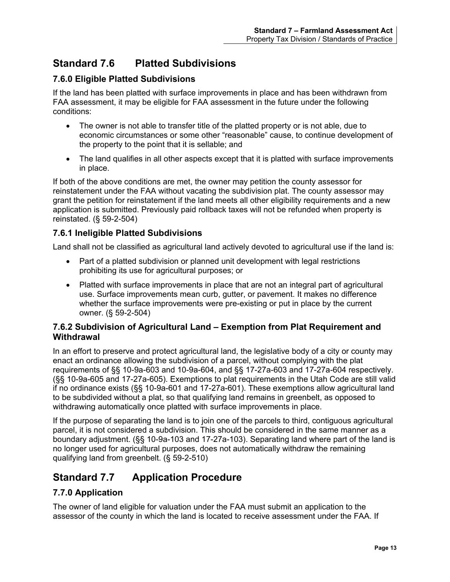# <span id="page-17-0"></span>**Standard 7.6 Platted Subdivisions**

## <span id="page-17-1"></span>**7.6.0 Eligible Platted Subdivisions**

If the land has been platted with surface improvements in place and has been withdrawn from FAA assessment, it may be eligible for FAA assessment in the future under the following conditions:

- The owner is not able to transfer title of the platted property or is not able, due to economic circumstances or some other "reasonable" cause, to continue development of the property to the point that it is sellable; and
- The land qualifies in all other aspects except that it is platted with surface improvements in place.

If both of the above conditions are met, the owner may petition the county assessor for reinstatement under the FAA without vacating the subdivision plat. The county assessor may grant the petition for reinstatement if the land meets all other eligibility requirements and a new application is submitted. Previously paid rollback taxes will not be refunded when property is reinstated. (§ 59-2-504)

## <span id="page-17-2"></span>**7.6.1 Ineligible Platted Subdivisions**

Land shall not be classified as agricultural land actively devoted to agricultural use if the land is:

- Part of a platted subdivision or planned unit development with legal restrictions prohibiting its use for agricultural purposes; or
- Platted with surface improvements in place that are not an integral part of agricultural use. Surface improvements mean curb, gutter, or pavement. It makes no difference whether the surface improvements were pre-existing or put in place by the current owner. (§ 59-2-504)

### <span id="page-17-3"></span>**7.6.2 Subdivision of Agricultural Land – Exemption from Plat Requirement and Withdrawal**

In an effort to preserve and protect agricultural land, the legislative body of a city or county may enact an ordinance allowing the subdivision of a parcel, without complying with the plat requirements of §§ 10-9a-603 and 10-9a-604, and §§ 17-27a-603 and 17-27a-604 respectively. (§§ 10-9a-605 and 17-27a-605). Exemptions to plat requirements in the Utah Code are still valid if no ordinance exists (§§ 10-9a-601 and 17-27a-601). These exemptions allow agricultural land to be subdivided without a plat, so that qualifying land remains in greenbelt, as opposed to withdrawing automatically once platted with surface improvements in place.

If the purpose of separating the land is to join one of the parcels to third, contiguous agricultural parcel, it is not considered a subdivision. This should be considered in the same manner as a boundary adjustment. (§§ 10-9a-103 and 17-27a-103). Separating land where part of the land is no longer used for agricultural purposes, does not automatically withdraw the remaining qualifying land from greenbelt. (§ 59-2-510)

# <span id="page-17-4"></span>**Standard 7.7 Application Procedure**

## <span id="page-17-5"></span>**7.7.0 Application**

The owner of land eligible for valuation under the FAA must submit an application to the assessor of the county in which the land is located to receive assessment under the FAA. If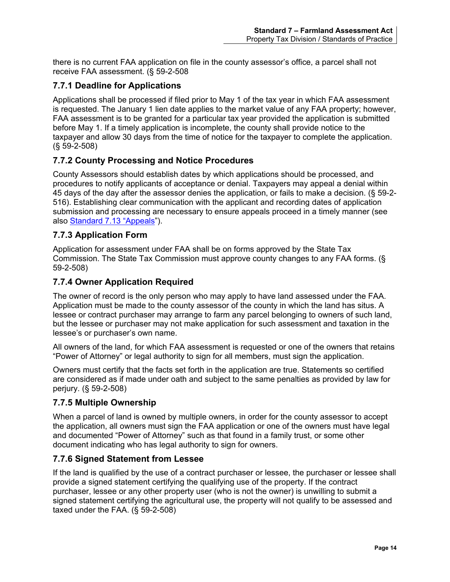there is no current FAA application on file in the county assessor's office, a parcel shall not receive FAA assessment. (§ 59-2-508

## <span id="page-18-0"></span>**7.7.1 Deadline for Applications**

Applications shall be processed if filed prior to May 1 of the tax year in which FAA assessment is requested. The January 1 lien date applies to the market value of any FAA property; however, FAA assessment is to be granted for a particular tax year provided the application is submitted before May 1. If a timely application is incomplete, the county shall provide notice to the taxpayer and allow 30 days from the time of notice for the taxpayer to complete the application. (§ 59-2-508)

## <span id="page-18-1"></span>**7.7.2 County Processing and Notice Procedures**

County Assessors should establish dates by which applications should be processed, and procedures to notify applicants of acceptance or denial. Taxpayers may appeal a denial within 45 days of the day after the assessor denies the application, or fails to make a decision. (§ 59-2- 516). Establishing clear communication with the applicant and recording dates of application submission and processing are necessary to ensure appeals proceed in a timely manner (see also [Standard 7.13](#page-26-0) "Appeals").

## <span id="page-18-2"></span>**7.7.3 Application Form**

Application for assessment under FAA shall be on forms approved by the State Tax Commission. The State Tax Commission must approve county changes to any FAA forms. (§ 59-2-508)

## <span id="page-18-3"></span>**7.7.4 Owner Application Required**

The owner of record is the only person who may apply to have land assessed under the FAA. Application must be made to the county assessor of the county in which the land has situs. A lessee or contract purchaser may arrange to farm any parcel belonging to owners of such land, but the lessee or purchaser may not make application for such assessment and taxation in the lessee's or purchaser's own name.

All owners of the land, for which FAA assessment is requested or one of the owners that retains "Power of Attorney" or legal authority to sign for all members, must sign the application.

Owners must certify that the facts set forth in the application are true. Statements so certified are considered as if made under oath and subject to the same penalties as provided by law for perjury. (§ 59-2-508)

## <span id="page-18-4"></span>**7.7.5 Multiple Ownership**

When a parcel of land is owned by multiple owners, in order for the county assessor to accept the application, all owners must sign the FAA application or one of the owners must have legal and documented "Power of Attorney" such as that found in a family trust, or some other document indicating who has legal authority to sign for owners.

## <span id="page-18-5"></span>**7.7.6 Signed Statement from Lessee**

If the land is qualified by the use of a contract purchaser or lessee, the purchaser or lessee shall provide a signed statement certifying the qualifying use of the property. If the contract purchaser, lessee or any other property user (who is not the owner) is unwilling to submit a signed statement certifying the agricultural use, the property will not qualify to be assessed and taxed under the FAA. (§ 59-2-508)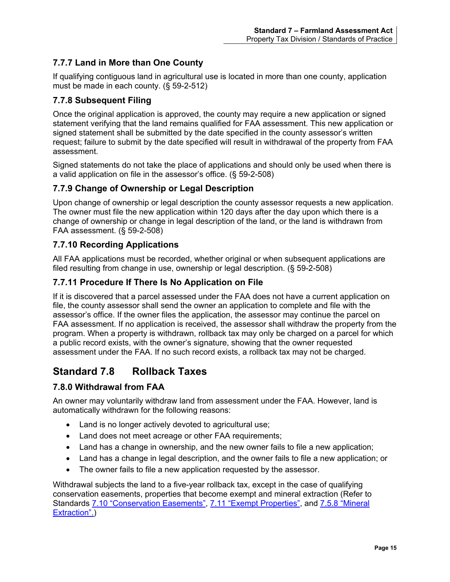## <span id="page-19-0"></span>**7.7.7 Land in More than One County**

If qualifying contiguous land in agricultural use is located in more than one county, application must be made in each county. (§ 59-2-512)

## <span id="page-19-1"></span>**7.7.8 Subsequent Filing**

Once the original application is approved, the county may require a new application or signed statement verifying that the land remains qualified for FAA assessment. This new application or signed statement shall be submitted by the date specified in the county assessor's written request; failure to submit by the date specified will result in withdrawal of the property from FAA assessment.

Signed statements do not take the place of applications and should only be used when there is a valid application on file in the assessor's office. (§ 59-2-508)

## <span id="page-19-2"></span>**7.7.9 Change of Ownership or Legal Description**

Upon change of ownership or legal description the county assessor requests a new application. The owner must file the new application within 120 days after the day upon which there is a change of ownership or change in legal description of the land, or the land is withdrawn from FAA assessment. (§ 59-2-508)

## <span id="page-19-3"></span>**7.7.10 Recording Applications**

All FAA applications must be recorded, whether original or when subsequent applications are filed resulting from change in use, ownership or legal description. (§ 59-2-508)

## <span id="page-19-4"></span>**7.7.11 Procedure If There Is No Application on File**

If it is discovered that a parcel assessed under the FAA does not have a current application on file, the county assessor shall send the owner an application to complete and file with the assessor's office. If the owner files the application, the assessor may continue the parcel on FAA assessment. If no application is received, the assessor shall withdraw the property from the program. When a property is withdrawn, rollback tax may only be charged on a parcel for which a public record exists, with the owner's signature, showing that the owner requested assessment under the FAA. If no such record exists, a rollback tax may not be charged.

# <span id="page-19-5"></span>**Standard 7.8 Rollback Taxes**

## <span id="page-19-6"></span>**7.8.0 Withdrawal from FAA**

An owner may voluntarily withdraw land from assessment under the FAA. However, land is automatically withdrawn for the following reasons:

- Land is no longer actively devoted to agricultural use;
- Land does not meet acreage or other FAA requirements;
- Land has a change in ownership, and the new owner fails to file a new application;
- Land has a change in legal description, and the owner fails to file a new application; or
- The owner fails to file a new application requested by the assessor.

Withdrawal subjects the land to a five-year rollback tax, except in the case of qualifying conservation easements, properties that become exempt and mineral extraction (Refer to Standards [7.10 "Conservation Easements",](#page-22-0) [7.11 "Exempt](#page-23-2) Properties", and 7.5.8 ["Mineral](#page-14-2)  [Extraction".\)](#page-14-2)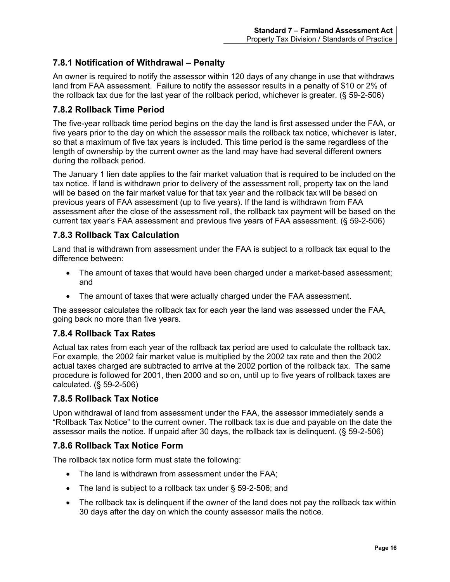## <span id="page-20-0"></span>**7.8.1 Notification of Withdrawal – Penalty**

An owner is required to notify the assessor within 120 days of any change in use that withdraws land from FAA assessment. Failure to notify the assessor results in a penalty of \$10 or 2% of the rollback tax due for the last year of the rollback period, whichever is greater. (§ 59-2-506)

### <span id="page-20-1"></span>**7.8.2 Rollback Time Period**

The five-year rollback time period begins on the day the land is first assessed under the FAA, or five years prior to the day on which the assessor mails the rollback tax notice, whichever is later, so that a maximum of five tax years is included. This time period is the same regardless of the length of ownership by the current owner as the land may have had several different owners during the rollback period.

The January 1 lien date applies to the fair market valuation that is required to be included on the tax notice. If land is withdrawn prior to delivery of the assessment roll, property tax on the land will be based on the fair market value for that tax year and the rollback tax will be based on previous years of FAA assessment (up to five years). If the land is withdrawn from FAA assessment after the close of the assessment roll, the rollback tax payment will be based on the current tax year's FAA assessment and previous five years of FAA assessment. (§ 59-2-506)

## <span id="page-20-2"></span>**7.8.3 Rollback Tax Calculation**

Land that is withdrawn from assessment under the FAA is subject to a rollback tax equal to the difference between:

- The amount of taxes that would have been charged under a market-based assessment; and
- The amount of taxes that were actually charged under the FAA assessment.

The assessor calculates the rollback tax for each year the land was assessed under the FAA, going back no more than five years.

## <span id="page-20-3"></span>**7.8.4 Rollback Tax Rates**

Actual tax rates from each year of the rollback tax period are used to calculate the rollback tax. For example, the 2002 fair market value is multiplied by the 2002 tax rate and then the 2002 actual taxes charged are subtracted to arrive at the 2002 portion of the rollback tax. The same procedure is followed for 2001, then 2000 and so on, until up to five years of rollback taxes are calculated. (§ 59-2-506)

#### <span id="page-20-4"></span>**7.8.5 Rollback Tax Notice**

Upon withdrawal of land from assessment under the FAA, the assessor immediately sends a "Rollback Tax Notice" to the current owner. The rollback tax is due and payable on the date the assessor mails the notice. If unpaid after 30 days, the rollback tax is delinquent. (§ 59-2-506)

#### <span id="page-20-5"></span>**7.8.6 Rollback Tax Notice Form**

The rollback tax notice form must state the following:

- The land is withdrawn from assessment under the FAA;
- The land is subject to a rollback tax under § 59-2-506; and
- The rollback tax is delinguent if the owner of the land does not pay the rollback tax within 30 days after the day on which the county assessor mails the notice.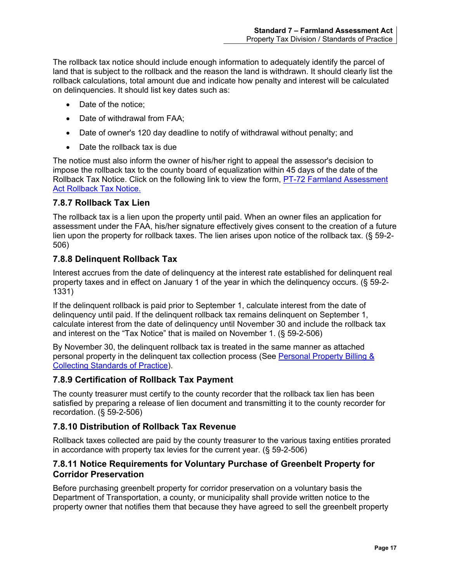The rollback tax notice should include enough information to adequately identify the parcel of land that is subject to the rollback and the reason the land is withdrawn. It should clearly list the rollback calculations, total amount due and indicate how penalty and interest will be calculated on delinquencies. It should list key dates such as:

- Date of the notice;
- Date of withdrawal from FAA;
- Date of owner's 120 day deadline to notify of withdrawal without penalty; and
- Date the rollback tax is due

The notice must also inform the owner of his/her right to appeal the assessor's decision to impose the rollback tax to the county board of equalization within 45 days of the date of the Rollback Tax Notice. Click on the following link to view the form, PT-72 [Farmland Assessment](http://propertytax.utah.gov/form/pt-072.pdf)  [Act Rollback Tax Notice.](http://propertytax.utah.gov/form/pt-072.pdf)

## <span id="page-21-0"></span>**7.8.7 Rollback Tax Lien**

The rollback tax is a lien upon the property until paid. When an owner files an application for assessment under the FAA, his/her signature effectively gives consent to the creation of a future lien upon the property for rollback taxes. The lien arises upon notice of the rollback tax. (§ 59-2- 506)

### <span id="page-21-1"></span>**7.8.8 Delinquent Rollback Tax**

Interest accrues from the date of delinquency at the interest rate established for delinquent real property taxes and in effect on January 1 of the year in which the delinquency occurs. (§ 59-2- 1331)

If the delinquent rollback is paid prior to September 1, calculate interest from the date of delinquency until paid. If the delinquent rollback tax remains delinquent on September 1, calculate interest from the date of delinquency until November 30 and include the rollback tax and interest on the "Tax Notice" that is mailed on November 1. (§ 59-2-506)

By November 30, the delinquent rollback tax is treated in the same manner as attached personal property in the delinquent tax collection process (See [Personal Property Billing &](https://propertytax.utah.gov/standards/standard11.pdf)  [Collecting Standards of Practice\)](https://propertytax.utah.gov/standards/standard11.pdf).

## <span id="page-21-2"></span>**7.8.9 Certification of Rollback Tax Payment**

The county treasurer must certify to the county recorder that the rollback tax lien has been satisfied by preparing a release of lien document and transmitting it to the county recorder for recordation. (§ 59-2-506)

## <span id="page-21-3"></span>**7.8.10 Distribution of Rollback Tax Revenue**

Rollback taxes collected are paid by the county treasurer to the various taxing entities prorated in accordance with property tax levies for the current year. (§ 59-2-506)

### <span id="page-21-4"></span>**7.8.11 Notice Requirements for Voluntary Purchase of Greenbelt Property for Corridor Preservation**

Before purchasing greenbelt property for corridor preservation on a voluntary basis the Department of Transportation, a county, or municipality shall provide written notice to the property owner that notifies them that because they have agreed to sell the greenbelt property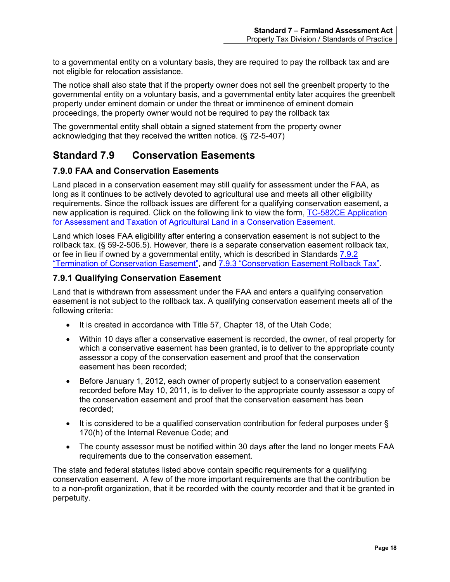to a governmental entity on a voluntary basis, they are required to pay the rollback tax and are not eligible for relocation assistance.

The notice shall also state that if the property owner does not sell the greenbelt property to the governmental entity on a voluntary basis, and a governmental entity later acquires the greenbelt property under eminent domain or under the threat or imminence of eminent domain proceedings, the property owner would not be required to pay the rollback tax

The governmental entity shall obtain a signed statement from the property owner acknowledging that they received the written notice. (§ 72-5-407)

# <span id="page-22-0"></span>**Standard 7.9 Conservation Easements**

## <span id="page-22-1"></span>**7.9.0 FAA and Conservation Easements**

Land placed in a conservation easement may still qualify for assessment under the FAA, as long as it continues to be actively devoted to agricultural use and meets all other eligibility requirements. Since the rollback issues are different for a qualifying conservation easement, a new application is required. Click on the following link to view the form, [TC-582CE Application](http://propertytax.utah.gov/form/tc-582ce.pdf)  [for Assessment and Taxation of Agricultural Land in a Conservation Easement.](http://propertytax.utah.gov/form/tc-582ce.pdf)

Land which loses FAA eligibility after entering a conservation easement is not subject to the rollback tax. (§ 59-2-506.5). However, there is a separate conservation easement rollback tax, or fee in lieu if owned by a governmental entity, which is described in Standards [7.9.2](#page-23-0)  ["Termination of Conservation Easement",](#page-23-0) and [7.9.3 "Conservation Easement Rollback Tax".](#page-23-1)

### <span id="page-22-2"></span>**7.9.1 Qualifying Conservation Easement**

Land that is withdrawn from assessment under the FAA and enters a qualifying conservation easement is not subject to the rollback tax. A qualifying conservation easement meets all of the following criteria:

- It is created in accordance with Title 57, Chapter 18, of the Utah Code;
- Within 10 days after a conservative easement is recorded, the owner, of real property for which a conservative easement has been granted, is to deliver to the appropriate county assessor a copy of the conservation easement and proof that the conservation easement has been recorded;
- Before January 1, 2012, each owner of property subject to a conservation easement recorded before May 10, 2011, is to deliver to the appropriate county assessor a copy of the conservation easement and proof that the conservation easement has been recorded;
- It is considered to be a qualified conservation contribution for federal purposes under § 170(h) of the Internal Revenue Code; and
- The county assessor must be notified within 30 days after the land no longer meets FAA requirements due to the conservation easement.

The state and federal statutes listed above contain specific requirements for a qualifying conservation easement. A few of the more important requirements are that the contribution be to a non-profit organization, that it be recorded with the county recorder and that it be granted in perpetuity.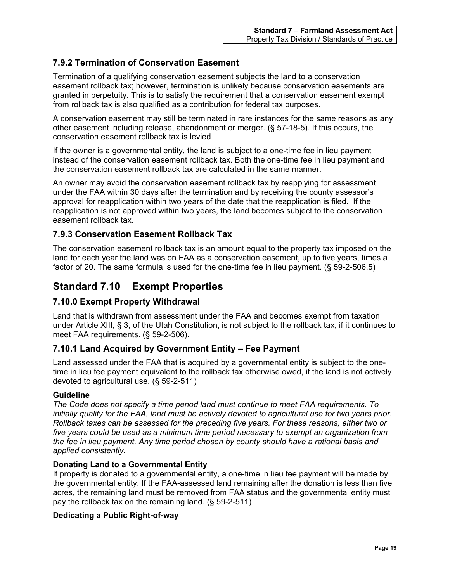## <span id="page-23-0"></span>**7.9.2 Termination of Conservation Easement**

Termination of a qualifying conservation easement subjects the land to a conservation easement rollback tax; however, termination is unlikely because conservation easements are granted in perpetuity. This is to satisfy the requirement that a conservation easement exempt from rollback tax is also qualified as a contribution for federal tax purposes.

A conservation easement may still be terminated in rare instances for the same reasons as any other easement including release, abandonment or merger. (§ 57-18-5). If this occurs, the conservation easement rollback tax is levied

If the owner is a governmental entity, the land is subject to a one-time fee in lieu payment instead of the conservation easement rollback tax. Both the one-time fee in lieu payment and the conservation easement rollback tax are calculated in the same manner.

An owner may avoid the conservation easement rollback tax by reapplying for assessment under the FAA within 30 days after the termination and by receiving the county assessor's approval for reapplication within two years of the date that the reapplication is filed. If the reapplication is not approved within two years, the land becomes subject to the conservation easement rollback tax.

## <span id="page-23-1"></span>**7.9.3 Conservation Easement Rollback Tax**

The conservation easement rollback tax is an amount equal to the property tax imposed on the land for each year the land was on FAA as a conservation easement, up to five years, times a factor of 20. The same formula is used for the one-time fee in lieu payment. (§ 59-2-506.5)

# <span id="page-23-2"></span>**Standard 7.10 Exempt Properties**

## <span id="page-23-3"></span>**7.10.0 Exempt Property Withdrawal**

Land that is withdrawn from assessment under the FAA and becomes exempt from taxation under Article XIII, § 3, of the Utah Constitution, is not subject to the rollback tax, if it continues to meet FAA requirements. (§ 59-2-506).

## <span id="page-23-4"></span>**7.10.1 Land Acquired by Government Entity – Fee Payment**

Land assessed under the FAA that is acquired by a governmental entity is subject to the onetime in lieu fee payment equivalent to the rollback tax otherwise owed, if the land is not actively devoted to agricultural use. (§ 59-2-511)

#### **Guideline**

*The Code does not specify a time period land must continue to meet FAA requirements. To initially qualify for the FAA, land must be actively devoted to agricultural use for two years prior. Rollback taxes can be assessed for the preceding five years. For these reasons, either two or five years could be used as a minimum time period necessary to exempt an organization from the fee in lieu payment. Any time period chosen by county should have a rational basis and applied consistently.*

#### **Donating Land to a Governmental Entity**

If property is donated to a governmental entity, a one-time in lieu fee payment will be made by the governmental entity. If the FAA-assessed land remaining after the donation is less than five acres, the remaining land must be removed from FAA status and the governmental entity must pay the rollback tax on the remaining land. (§ 59-2-511)

#### **Dedicating a Public Right-of-way**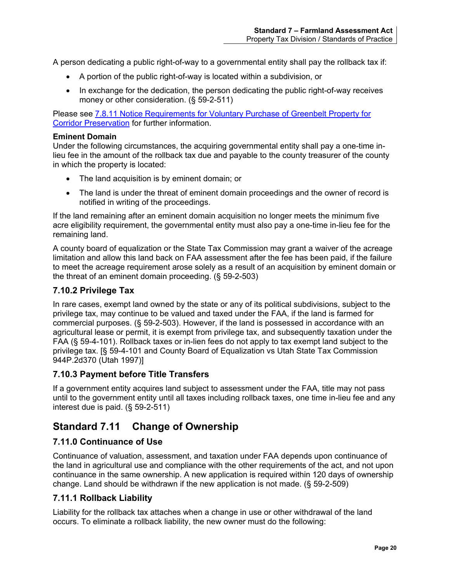A person dedicating a public right-of-way to a governmental entity shall pay the rollback tax if:

- A portion of the public right-of-way is located within a subdivision, or
- In exchange for the dedication, the person dedicating the public right-of-way receives money or other consideration. (§ 59-2-511)

Please see [7.8.11 Notice Requirements for Voluntary Purchase of Greenbelt Property for](#page-21-4)  [Corridor Preservation](#page-21-4) for further information.

#### **Eminent Domain**

Under the following circumstances, the acquiring governmental entity shall pay a one-time inlieu fee in the amount of the rollback tax due and payable to the county treasurer of the county in which the property is located:

- The land acquisition is by eminent domain; or
- The land is under the threat of eminent domain proceedings and the owner of record is notified in writing of the proceedings.

If the land remaining after an eminent domain acquisition no longer meets the minimum five acre eligibility requirement, the governmental entity must also pay a one-time in-lieu fee for the remaining land.

A county board of equalization or the State Tax Commission may grant a waiver of the acreage limitation and allow this land back on FAA assessment after the fee has been paid, if the failure to meet the acreage requirement arose solely as a result of an acquisition by eminent domain or the threat of an eminent domain proceeding. (§ 59-2-503)

### <span id="page-24-0"></span>**7.10.2 Privilege Tax**

In rare cases, exempt land owned by the state or any of its political subdivisions, subject to the privilege tax, may continue to be valued and taxed under the FAA, if the land is farmed for commercial purposes. (§ 59-2-503). However, if the land is possessed in accordance with an agricultural lease or permit, it is exempt from privilege tax, and subsequently taxation under the FAA (§ 59-4-101). Rollback taxes or in-lien fees do not apply to tax exempt land subject to the privilege tax. [§ 59-4-101 and County Board of Equalization vs Utah State Tax Commission 944P.2d370 (Utah 1997)]

#### <span id="page-24-1"></span>**7.10.3 Payment before Title Transfers**

If a government entity acquires land subject to assessment under the FAA, title may not pass until to the government entity until all taxes including rollback taxes, one time in-lieu fee and any interest due is paid. (§ 59-2-511)

# <span id="page-24-2"></span>**Standard 7.11 Change of Ownership**

## <span id="page-24-3"></span>**7.11.0 Continuance of Use**

Continuance of valuation, assessment, and taxation under FAA depends upon continuance of the land in agricultural use and compliance with the other requirements of the act, and not upon continuance in the same ownership. A new application is required within 120 days of ownership change. Land should be withdrawn if the new application is not made. (§ 59-2-509)

## <span id="page-24-4"></span>**7.11.1 Rollback Liability**

Liability for the rollback tax attaches when a change in use or other withdrawal of the land occurs. To eliminate a rollback liability, the new owner must do the following: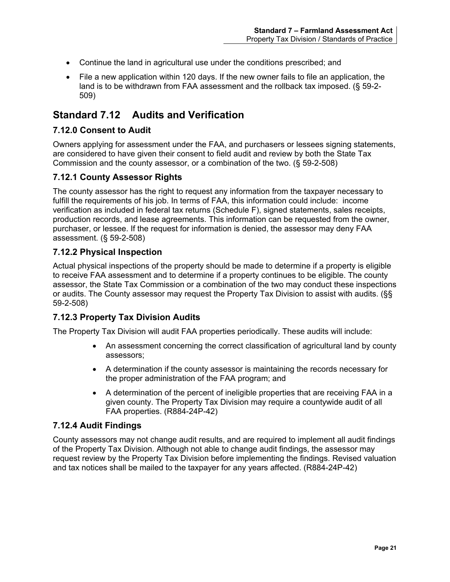- Continue the land in agricultural use under the conditions prescribed; and
- File a new application within 120 days. If the new owner fails to file an application, the land is to be withdrawn from FAA assessment and the rollback tax imposed. (§ 59-2- 509)

## <span id="page-25-0"></span>**Standard 7.12 Audits and Verification**

### <span id="page-25-1"></span>**7.12.0 Consent to Audit**

Owners applying for assessment under the FAA, and purchasers or lessees signing statements, are considered to have given their consent to field audit and review by both the State Tax Commission and the county assessor, or a combination of the two. (§ 59-2-508)

## <span id="page-25-2"></span>**7.12.1 County Assessor Rights**

The county assessor has the right to request any information from the taxpayer necessary to fulfill the requirements of his job. In terms of FAA, this information could include: income verification as included in federal tax returns (Schedule F), signed statements, sales receipts, production records, and lease agreements. This information can be requested from the owner, purchaser, or lessee. If the request for information is denied, the assessor may deny FAA assessment. (§ 59-2-508)

### <span id="page-25-3"></span>**7.12.2 Physical Inspection**

Actual physical inspections of the property should be made to determine if a property is eligible to receive FAA assessment and to determine if a property continues to be eligible. The county assessor, the State Tax Commission or a combination of the two may conduct these inspections or audits. The County assessor may request the Property Tax Division to assist with audits. (§§ 59-2-508)

## <span id="page-25-4"></span>**7.12.3 Property Tax Division Audits**

The Property Tax Division will audit FAA properties periodically. These audits will include:

- An assessment concerning the correct classification of agricultural land by county assessors;
- A determination if the county assessor is maintaining the records necessary for the proper administration of the FAA program; and
- A determination of the percent of ineligible properties that are receiving FAA in a given county. The Property Tax Division may require a countywide audit of all FAA properties. (R884-24P-42)

## <span id="page-25-5"></span>**7.12.4 Audit Findings**

County assessors may not change audit results, and are required to implement all audit findings of the Property Tax Division. Although not able to change audit findings, the assessor may request review by the Property Tax Division before implementing the findings. Revised valuation and tax notices shall be mailed to the taxpayer for any years affected. (R884-24P-42)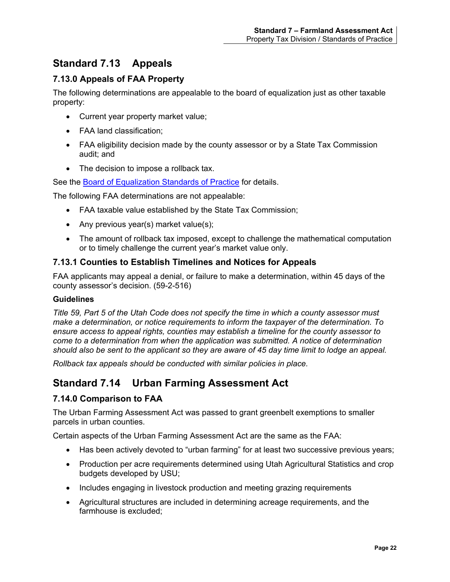# <span id="page-26-0"></span>**Standard 7.13 Appeals**

## <span id="page-26-1"></span>**7.13.0 Appeals of FAA Property**

The following determinations are appealable to the board of equalization just as other taxable property:

- Current year property market value;
- FAA land classification:
- FAA eligibility decision made by the county assessor or by a State Tax Commission audit; and
- The decision to impose a rollback tax.

See the [Board of Equalization Standards of Practice](https://propertytax.utah.gov/standards/standard01.pdf) for details.

The following FAA determinations are not appealable:

- FAA taxable value established by the State Tax Commission;
- Any previous year(s) market value(s);
- The amount of rollback tax imposed, except to challenge the mathematical computation or to timely challenge the current year's market value only.

## <span id="page-26-2"></span>**7.13.1 Counties to Establish Timelines and Notices for Appeals**

FAA applicants may appeal a denial, or failure to make a determination, within 45 days of the county assessor's decision. (59-2-516)

#### **Guidelines**

*Title 59, Part 5 of the Utah Code does not specify the time in which a county assessor must make a determination, or notice requirements to inform the taxpayer of the determination. To ensure access to appeal rights, counties may establish a timeline for the county assessor to come to a determination from when the application was submitted. A notice of determination should also be sent to the applicant so they are aware of 45 day time limit to lodge an appeal.*

*Rollback tax appeals should be conducted with similar policies in place.* 

# <span id="page-26-3"></span>**Standard 7.14 Urban Farming Assessment Act**

#### <span id="page-26-4"></span>**7.14.0 Comparison to FAA**

The Urban Farming Assessment Act was passed to grant greenbelt exemptions to smaller parcels in urban counties.

Certain aspects of the Urban Farming Assessment Act are the same as the FAA:

- Has been actively devoted to "urban farming" for at least two successive previous years;
- Production per acre requirements determined using Utah Agricultural Statistics and crop budgets developed by USU;
- Includes engaging in livestock production and meeting grazing requirements
- Agricultural structures are included in determining acreage requirements, and the farmhouse is excluded;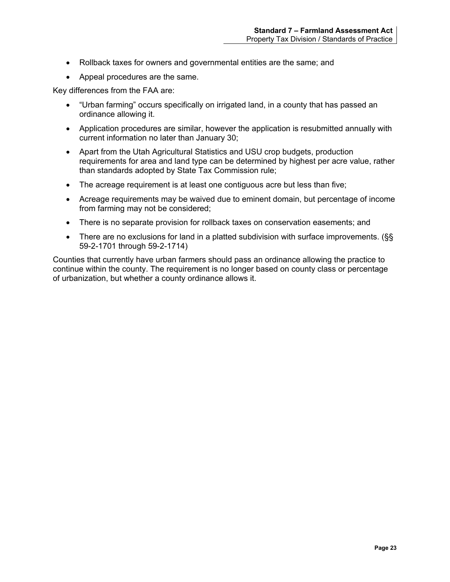- Rollback taxes for owners and governmental entities are the same; and
- Appeal procedures are the same.

Key differences from the FAA are:

- "Urban farming" occurs specifically on irrigated land, in a county that has passed an ordinance allowing it.
- Application procedures are similar, however the application is resubmitted annually with current information no later than January 30;
- Apart from the Utah Agricultural Statistics and USU crop budgets, production requirements for area and land type can be determined by highest per acre value, rather than standards adopted by State Tax Commission rule;
- The acreage requirement is at least one contiguous acre but less than five;
- Acreage requirements may be waived due to eminent domain, but percentage of income from farming may not be considered;
- There is no separate provision for rollback taxes on conservation easements; and
- There are no exclusions for land in a platted subdivision with surface improvements. (§§ 59-2-1701 through 59-2-1714)

<span id="page-27-0"></span>Counties that currently have urban farmers should pass an ordinance allowing the practice to continue within the county. The requirement is no longer based on county class or percentage of urbanization, but whether a county ordinance allows it.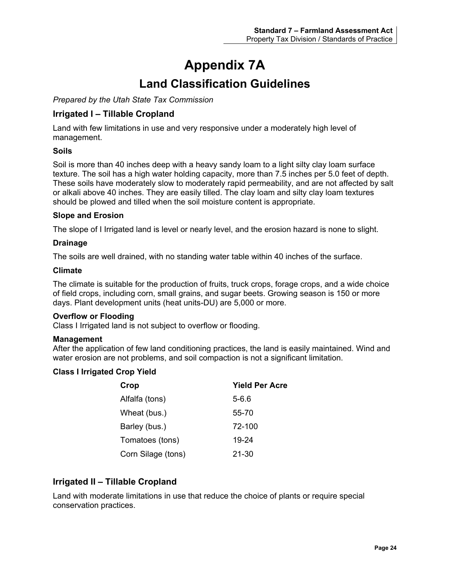# **Appendix 7A Land Classification Guidelines**

<span id="page-28-1"></span><span id="page-28-0"></span>*Prepared by the Utah State Tax Commission*

## <span id="page-28-2"></span>**Irrigated I – Tillable Cropland**

Land with few limitations in use and very responsive under a moderately high level of management.

#### **Soils**

Soil is more than 40 inches deep with a heavy sandy loam to a light silty clay loam surface texture. The soil has a high water holding capacity, more than 7.5 inches per 5.0 feet of depth. These soils have moderately slow to moderately rapid permeability, and are not affected by salt or alkali above 40 inches. They are easily tilled. The clay loam and silty clay loam textures should be plowed and tilled when the soil moisture content is appropriate.

#### **Slope and Erosion**

The slope of I Irrigated land is level or nearly level, and the erosion hazard is none to slight.

#### **Drainage**

The soils are well drained, with no standing water table within 40 inches of the surface.

#### **Climate**

The climate is suitable for the production of fruits, truck crops, forage crops, and a wide choice of field crops, including corn, small grains, and sugar beets. Growing season is 150 or more days. Plant development units (heat units-DU) are 5,000 or more.

#### **Overflow or Flooding**

Class I Irrigated land is not subject to overflow or flooding.

#### **Management**

After the application of few land conditioning practices, the land is easily maintained. Wind and water erosion are not problems, and soil compaction is not a significant limitation.

#### **Class I Irrigated Crop Yield**

| Crop               | <b>Yield Per Acre</b> |
|--------------------|-----------------------|
| Alfalfa (tons)     | $5 - 6.6$             |
| Wheat (bus.)       | 55-70                 |
| Barley (bus.)      | 72-100                |
| Tomatoes (tons)    | 19-24                 |
| Corn Silage (tons) | 21-30                 |

## <span id="page-28-3"></span>**Irrigated II – Tillable Cropland**

Land with moderate limitations in use that reduce the choice of plants or require special conservation practices.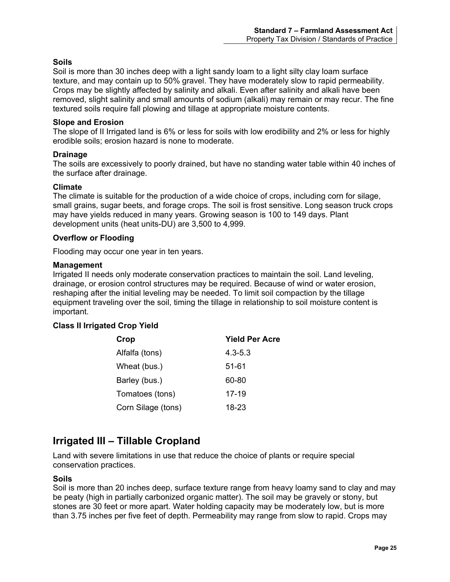#### **Soils**

Soil is more than 30 inches deep with a light sandy loam to a light silty clay loam surface texture, and may contain up to 50% gravel. They have moderately slow to rapid permeability. Crops may be slightly affected by salinity and alkali. Even after salinity and alkali have been removed, slight salinity and small amounts of sodium (alkali) may remain or may recur. The fine textured soils require fall plowing and tillage at appropriate moisture contents.

#### **Slope and Erosion**

The slope of II Irrigated land is 6% or less for soils with low erodibility and 2% or less for highly erodible soils; erosion hazard is none to moderate.

#### **Drainage**

The soils are excessively to poorly drained, but have no standing water table within 40 inches of the surface after drainage.

#### **Climate**

The climate is suitable for the production of a wide choice of crops, including corn for silage, small grains, sugar beets, and forage crops. The soil is frost sensitive. Long season truck crops may have yields reduced in many years. Growing season is 100 to 149 days. Plant development units (heat units-DU) are 3,500 to 4,999.

#### **Overflow or Flooding**

Flooding may occur one year in ten years.

#### **Management**

Irrigated II needs only moderate conservation practices to maintain the soil. Land leveling, drainage, or erosion control structures may be required. Because of wind or water erosion, reshaping after the initial leveling may be needed. To limit soil compaction by the tillage equipment traveling over the soil, timing the tillage in relationship to soil moisture content is important.

#### **Class II Irrigated Crop Yield**

| Crop               | <b>Yield Per Acre</b> |
|--------------------|-----------------------|
| Alfalfa (tons)     | $4.3 - 5.3$           |
| Wheat (bus.)       | 51-61                 |
| Barley (bus.)      | 60-80                 |
| Tomatoes (tons)    | 17-19                 |
| Corn Silage (tons) | 18-23                 |

## <span id="page-29-0"></span>**Irrigated III – Tillable Cropland**

Land with severe limitations in use that reduce the choice of plants or require special conservation practices.

#### **Soils**

Soil is more than 20 inches deep, surface texture range from heavy loamy sand to clay and may be peaty (high in partially carbonized organic matter). The soil may be gravely or stony, but stones are 30 feet or more apart. Water holding capacity may be moderately low, but is more than 3.75 inches per five feet of depth. Permeability may range from slow to rapid. Crops may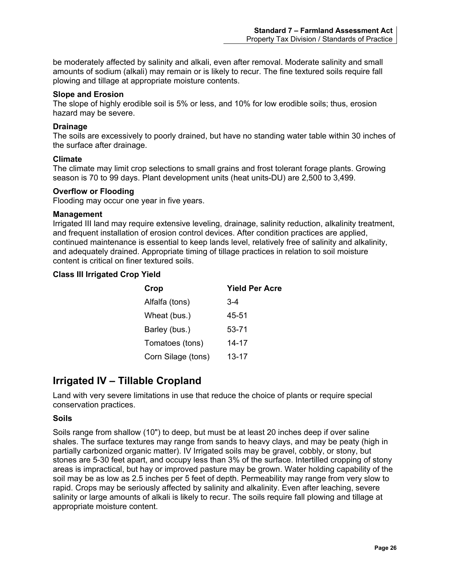be moderately affected by salinity and alkali, even after removal. Moderate salinity and small amounts of sodium (alkali) may remain or is likely to recur. The fine textured soils require fall plowing and tillage at appropriate moisture contents.

#### **Slope and Erosion**

The slope of highly erodible soil is 5% or less, and 10% for low erodible soils; thus, erosion hazard may be severe.

#### **Drainage**

The soils are excessively to poorly drained, but have no standing water table within 30 inches of the surface after drainage.

#### **Climate**

The climate may limit crop selections to small grains and frost tolerant forage plants. Growing season is 70 to 99 days. Plant development units (heat units-DU) are 2,500 to 3,499.

#### **Overflow or Flooding**

Flooding may occur one year in five years.

#### **Management**

Irrigated III land may require extensive leveling, drainage, salinity reduction, alkalinity treatment, and frequent installation of erosion control devices. After condition practices are applied, continued maintenance is essential to keep lands level, relatively free of salinity and alkalinity, and adequately drained. Appropriate timing of tillage practices in relation to soil moisture content is critical on finer textured soils.

#### **Class III Irrigated Crop Yield**

| Crop               | <b>Yield Per Acre</b> |
|--------------------|-----------------------|
| Alfalfa (tons)     | $3-4$                 |
| Wheat (bus.)       | 45-51                 |
| Barley (bus.)      | 53-71                 |
| Tomatoes (tons)    | 14-17                 |
| Corn Silage (tons) | $13 - 17$             |

## <span id="page-30-0"></span>**Irrigated IV – Tillable Cropland**

Land with very severe limitations in use that reduce the choice of plants or require special conservation practices.

#### **Soils**

Soils range from shallow (10") to deep, but must be at least 20 inches deep if over saline shales. The surface textures may range from sands to heavy clays, and may be peaty (high in partially carbonized organic matter). IV Irrigated soils may be gravel, cobbly, or stony, but stones are 5-30 feet apart, and occupy less than 3% of the surface. Intertilled cropping of stony areas is impractical, but hay or improved pasture may be grown. Water holding capability of the soil may be as low as 2.5 inches per 5 feet of depth. Permeability may range from very slow to rapid. Crops may be seriously affected by salinity and alkalinity. Even after leaching, severe salinity or large amounts of alkali is likely to recur. The soils require fall plowing and tillage at appropriate moisture content.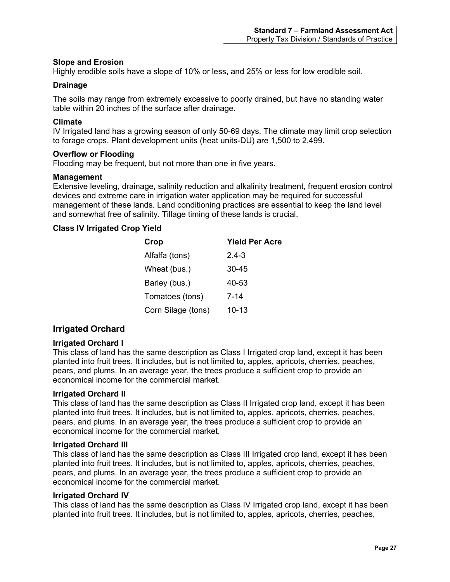#### **Slope and Erosion**

Highly erodible soils have a slope of 10% or less, and 25% or less for low erodible soil.

#### **Drainage**

The soils may range from extremely excessive to poorly drained, but have no standing water table within 20 inches of the surface after drainage.

#### **Climate**

IV Irrigated land has a growing season of only 50-69 days. The climate may limit crop selection to forage crops. Plant development units (heat units-DU) are 1,500 to 2,499.

#### **Overflow or Flooding**

Flooding may be frequent, but not more than one in five years.

#### **Management**

Extensive leveling, drainage, salinity reduction and alkalinity treatment, frequent erosion control devices and extreme care in irrigation water application may be required for successful management of these lands. Land conditioning practices are essential to keep the land level and somewhat free of salinity. Tillage timing of these lands is crucial.

#### **Class IV Irrigated Crop Yield**

| Crop               | <b>Yield Per Acre</b> |
|--------------------|-----------------------|
| Alfalfa (tons)     | $2.4 - 3$             |
| Wheat (bus.)       | 30-45                 |
| Barley (bus.)      | 40-53                 |
| Tomatoes (tons)    | 7-14                  |
| Corn Silage (tons) | 10-13                 |

#### <span id="page-31-0"></span>**Irrigated Orchard**

#### **Irrigated Orchard I**

This class of land has the same description as Class I Irrigated crop land, except it has been planted into fruit trees. It includes, but is not limited to, apples, apricots, cherries, peaches, pears, and plums. In an average year, the trees produce a sufficient crop to provide an economical income for the commercial market.

#### **Irrigated Orchard II**

This class of land has the same description as Class II Irrigated crop land, except it has been planted into fruit trees. It includes, but is not limited to, apples, apricots, cherries, peaches, pears, and plums. In an average year, the trees produce a sufficient crop to provide an economical income for the commercial market.

#### **Irrigated Orchard III**

This class of land has the same description as Class III Irrigated crop land, except it has been planted into fruit trees. It includes, but is not limited to, apples, apricots, cherries, peaches, pears, and plums. In an average year, the trees produce a sufficient crop to provide an economical income for the commercial market.

#### **Irrigated Orchard IV**

This class of land has the same description as Class IV Irrigated crop land, except it has been planted into fruit trees. It includes, but is not limited to, apples, apricots, cherries, peaches,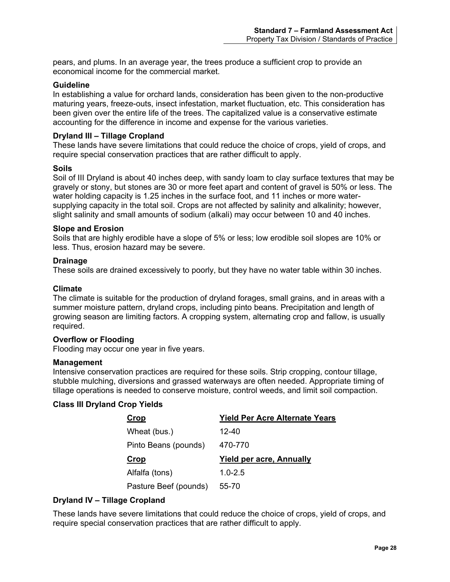pears, and plums. In an average year, the trees produce a sufficient crop to provide an economical income for the commercial market.

#### **Guideline**

In establishing a value for orchard lands, consideration has been given to the non-productive maturing years, freeze-outs, insect infestation, market fluctuation, etc. This consideration has been given over the entire life of the trees. The capitalized value is a conservative estimate accounting for the difference in income and expense for the various varieties.

#### **Dryland III – Tillage Cropland**

These lands have severe limitations that could reduce the choice of crops, yield of crops, and require special conservation practices that are rather difficult to apply.

#### **Soils**

Soil of III Dryland is about 40 inches deep, with sandy loam to clay surface textures that may be gravely or stony, but stones are 30 or more feet apart and content of gravel is 50% or less. The water holding capacity is 1.25 inches in the surface foot, and 11 inches or more watersupplying capacity in the total soil. Crops are not affected by salinity and alkalinity; however, slight salinity and small amounts of sodium (alkali) may occur between 10 and 40 inches.

#### **Slope and Erosion**

Soils that are highly erodible have a slope of 5% or less; low erodible soil slopes are 10% or less. Thus, erosion hazard may be severe.

#### **Drainage**

These soils are drained excessively to poorly, but they have no water table within 30 inches.

#### **Climate**

The climate is suitable for the production of dryland forages, small grains, and in areas with a summer moisture pattern, dryland crops, including pinto beans. Precipitation and length of growing season are limiting factors. A cropping system, alternating crop and fallow, is usually required.

#### **Overflow or Flooding**

Flooding may occur one year in five years.

#### **Management**

Intensive conservation practices are required for these soils. Strip cropping, contour tillage, stubble mulching, diversions and grassed waterways are often needed. Appropriate timing of tillage operations is needed to conserve moisture, control weeds, and limit soil compaction.

#### **Class III Dryland Crop Yields**

| Crop                 | <b>Yield Per Acre Alternate Years</b> |
|----------------------|---------------------------------------|
| Wheat (bus.)         | 12-40                                 |
| Pinto Beans (pounds) | 470-770                               |
|                      |                                       |
| Crop                 | <b>Yield per acre, Annually</b>       |
| Alfalfa (tons)       | $1.0 - 2.5$                           |

#### **Dryland IV – Tillage Cropland**

These lands have severe limitations that could reduce the choice of crops, yield of crops, and require special conservation practices that are rather difficult to apply.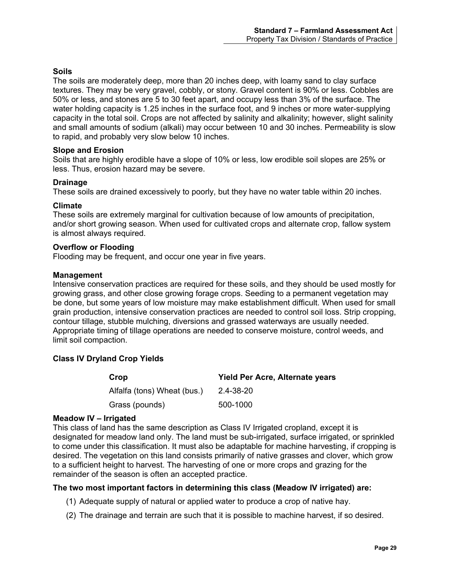#### **Soils**

The soils are moderately deep, more than 20 inches deep, with loamy sand to clay surface textures. They may be very gravel, cobbly, or stony. Gravel content is 90% or less. Cobbles are 50% or less, and stones are 5 to 30 feet apart, and occupy less than 3% of the surface. The water holding capacity is 1.25 inches in the surface foot, and 9 inches or more water-supplying capacity in the total soil. Crops are not affected by salinity and alkalinity; however, slight salinity and small amounts of sodium (alkali) may occur between 10 and 30 inches. Permeability is slow to rapid, and probably very slow below 10 inches.

#### **Slope and Erosion**

Soils that are highly erodible have a slope of 10% or less, low erodible soil slopes are 25% or less. Thus, erosion hazard may be severe.

#### **Drainage**

These soils are drained excessively to poorly, but they have no water table within 20 inches.

#### **Climate**

These soils are extremely marginal for cultivation because of low amounts of precipitation, and/or short growing season. When used for cultivated crops and alternate crop, fallow system is almost always required.

#### **Overflow or Flooding**

Flooding may be frequent, and occur one year in five years.

#### **Management**

Intensive conservation practices are required for these soils, and they should be used mostly for growing grass, and other close growing forage crops. Seeding to a permanent vegetation may be done, but some years of low moisture may make establishment difficult. When used for small grain production, intensive conservation practices are needed to control soil loss. Strip cropping, contour tillage, stubble mulching, diversions and grassed waterways are usually needed. Appropriate timing of tillage operations are needed to conserve moisture, control weeds, and limit soil compaction.

#### **Class IV Dryland Crop Yields**

| Crop                        | Yield Per Acre, Alternate years |
|-----------------------------|---------------------------------|
| Alfalfa (tons) Wheat (bus.) | 2.4-38-20                       |
| Grass (pounds)              | 500-1000                        |

#### **Meadow IV – Irrigated**

This class of land has the same description as Class IV Irrigated cropland, except it is designated for meadow land only. The land must be sub-irrigated, surface irrigated, or sprinkled to come under this classification. It must also be adaptable for machine harvesting, if cropping is desired. The vegetation on this land consists primarily of native grasses and clover, which grow to a sufficient height to harvest. The harvesting of one or more crops and grazing for the remainder of the season is often an accepted practice.

#### **The two most important factors in determining this class (Meadow IV irrigated) are:**

- (1) Adequate supply of natural or applied water to produce a crop of native hay.
- (2) The drainage and terrain are such that it is possible to machine harvest, if so desired.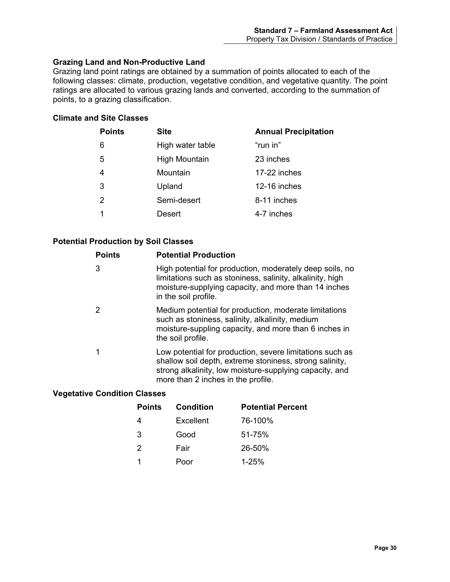#### **Grazing Land and Non-Productive Land**

Grazing land point ratings are obtained by a summation of points allocated to each of the following classes: climate, production, vegetative condition, and vegetative quantity. The point ratings are allocated to various grazing lands and converted, according to the summation of points, to a grazing classification.

#### **Climate and Site Classes**

| <b>Annual Precipitation</b>                                         |
|---------------------------------------------------------------------|
| "run in"                                                            |
| 23 inches                                                           |
| 17-22 inches                                                        |
| 12-16 inches                                                        |
| 8-11 inches                                                         |
| 4-7 inches                                                          |
| High water table<br><b>High Mountain</b><br>Mountain<br>Semi-desert |

### **Potential Production by Soil Classes**

| <b>Points</b> | <b>Potential Production</b>                                                                                                                                                                                          |
|---------------|----------------------------------------------------------------------------------------------------------------------------------------------------------------------------------------------------------------------|
| 3             | High potential for production, moderately deep soils, no<br>limitations such as stoniness, salinity, alkalinity, high<br>moisture-supplying capacity, and more than 14 inches<br>in the soil profile.                |
| 2             | Medium potential for production, moderate limitations<br>such as stoniness, salinity, alkalinity, medium<br>moisture-suppling capacity, and more than 6 inches in<br>the soil profile.                               |
| 1             | Low potential for production, severe limitations such as<br>shallow soil depth, extreme stoniness, strong salinity,<br>strong alkalinity, low moisture-supplying capacity, and<br>more than 2 inches in the profile. |

#### **Vegetative Condition Classes**

| <b>Points</b> | Condition | <b>Potential Percent</b> |
|---------------|-----------|--------------------------|
|               | Excellent | 76-100%                  |
| 3             | Good      | 51-75%                   |
| 2             | Fair      | 26-50%                   |
|               | Poor      | $1 - 25%$                |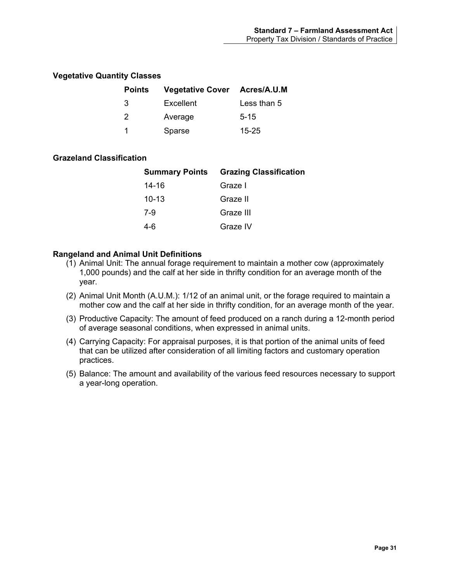#### **Vegetative Quantity Classes**

| <b>Points</b> | <b>Vegetative Cover Acres/A.U.M</b> |             |
|---------------|-------------------------------------|-------------|
| -3            | Excellent                           | Less than 5 |
| 2             | Average                             | $5 - 15$    |
| 1             | Sparse                              | 15-25       |

#### **Grazeland Classification**

|           | <b>Summary Points Grazing Classification</b> |
|-----------|----------------------------------------------|
| 14-16     | Graze I                                      |
| $10 - 13$ | Graze II                                     |
| 7-9       | Graze III                                    |
| 4-6       | Graze IV                                     |

#### **Rangeland and Animal Unit Definitions**

- (1) Animal Unit: The annual forage requirement to maintain a mother cow (approximately 1,000 pounds) and the calf at her side in thrifty condition for an average month of the year.
- (2) Animal Unit Month (A.U.M.): 1/12 of an animal unit, or the forage required to maintain a mother cow and the calf at her side in thrifty condition, for an average month of the year.
- (3) Productive Capacity: The amount of feed produced on a ranch during a 12-month period of average seasonal conditions, when expressed in animal units.
- (4) Carrying Capacity: For appraisal purposes, it is that portion of the animal units of feed that can be utilized after consideration of all limiting factors and customary operation practices.
- (5) Balance: The amount and availability of the various feed resources necessary to support a year-long operation.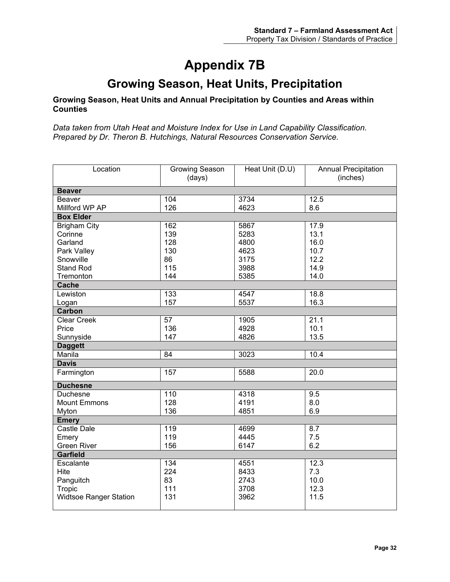# **Appendix 7B**

# **Growing Season, Heat Units, Precipitation**

#### <span id="page-36-1"></span><span id="page-36-0"></span>**Growing Season, Heat Units and Annual Precipitation by Counties and Areas within Counties**

*Data taken from Utah Heat and Moisture Index for Use in Land Capability Classification. Prepared by Dr. Theron B. Hutchings, Natural Resources Conservation Service.*

| Location                      | <b>Growing Season</b><br>(days) | Heat Unit (D.U) | <b>Annual Precipitation</b><br>(inches) |  |
|-------------------------------|---------------------------------|-----------------|-----------------------------------------|--|
| <b>Beaver</b>                 |                                 |                 |                                         |  |
| <b>Beaver</b>                 | 104                             | 3734            | 12.5                                    |  |
| Millford WP AP                | 126                             | 4623            | 8.6                                     |  |
| <b>Box Elder</b>              |                                 |                 |                                         |  |
| <b>Brigham City</b>           | 162                             | 5867            | 17.9                                    |  |
| Corinne                       | 139                             | 5283            | 13.1                                    |  |
| Garland                       | 128                             | 4800            | 16.0                                    |  |
| Park Valley                   | 130                             | 4623            | 10.7                                    |  |
| Snowville                     | 86                              | 3175            | 12.2                                    |  |
| <b>Stand Rod</b>              | 115                             | 3988            | 14.9                                    |  |
| Tremonton                     | 144                             | 5385            | 14.0                                    |  |
| <b>Cache</b>                  |                                 |                 |                                         |  |
| Lewiston                      | 133                             | 4547            | 18.8                                    |  |
| Logan                         | 157                             | 5537            | 16.3                                    |  |
| Carbon                        |                                 |                 |                                         |  |
| <b>Clear Creek</b>            | 57                              | 1905            | 21.1                                    |  |
| Price                         | 136                             | 4928            | 10.1                                    |  |
| Sunnyside                     | 147                             | 4826            | 13.5                                    |  |
| <b>Daggett</b>                |                                 |                 |                                         |  |
| Manila                        | $\overline{84}$                 | 3023            | 10.4                                    |  |
| <b>Davis</b>                  |                                 |                 |                                         |  |
| Farmington                    | 157                             | 5588            | 20.0                                    |  |
| <b>Duchesne</b>               |                                 |                 |                                         |  |
| <b>Duchesne</b>               | 110                             | 4318            | 9.5                                     |  |
| <b>Mount Emmons</b>           | 128                             | 4191            | 8.0                                     |  |
| Myton                         | 136                             | 4851            | 6.9                                     |  |
| <b>Emery</b>                  |                                 |                 |                                         |  |
| <b>Castle Dale</b>            | 119                             | 4699            | 8.7                                     |  |
| Emery                         | 119                             | 4445            | 7.5                                     |  |
| <b>Green River</b>            | 156                             | 6147            | 6.2                                     |  |
| Garfield                      |                                 |                 |                                         |  |
| Escalante                     | 134                             | 4551            | 12.3                                    |  |
| Hite                          | 224                             | 8433            | 7.3                                     |  |
| Panguitch                     | 83                              | 2743            | 10.0                                    |  |
| Tropic                        | 111                             | 3708            | 12.3                                    |  |
| <b>Widtsoe Ranger Station</b> | 131                             | 3962            | 11.5                                    |  |
|                               |                                 |                 |                                         |  |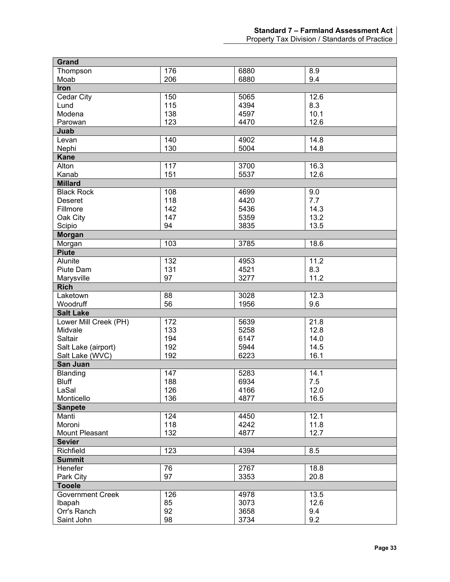## **Standard 7 – Farmland Assessment Act**

Property Tax Division / Standards of Practice

| <b>Grand</b>            |          |      |      |
|-------------------------|----------|------|------|
| Thompson                | 176      | 6880 | 8.9  |
| Moab                    | 206      | 6880 | 9.4  |
| Iron                    |          |      |      |
| Cedar City              | 150      | 5065 | 12.6 |
| Lund                    | 115      | 4394 | 8.3  |
| Modena                  | 138      | 4597 | 10.1 |
| Parowan                 | 123      | 4470 | 12.6 |
| Juab                    |          |      |      |
| Levan                   | 140      | 4902 | 14.8 |
| Nephi                   | 130      | 5004 | 14.8 |
| <b>Kane</b>             |          |      |      |
| Alton                   | 117      | 3700 | 16.3 |
| Kanab                   | 151      | 5537 | 12.6 |
| <b>Millard</b>          |          |      |      |
| <b>Black Rock</b>       | 108      | 4699 | 9.0  |
| <b>Deseret</b>          | 118      | 4420 | 7.7  |
| Fillmore                | 142      | 5436 | 14.3 |
| Oak City                | 147      | 5359 | 13.2 |
| Scipio                  | 94       | 3835 | 13.5 |
| Morgan                  |          |      |      |
| Morgan                  | 103      | 3785 | 18.6 |
| <b>Piute</b>            |          |      |      |
| Alunite                 | 132      | 4953 | 11.2 |
| Piute Dam               | 131      | 4521 | 8.3  |
| Marysville              | 97       | 3277 | 11.2 |
| <b>Rich</b>             |          |      |      |
| Laketown                | 88       | 3028 | 12.3 |
| Woodruff                | 56       | 1956 | 9.6  |
| <b>Salt Lake</b>        |          |      |      |
| Lower Mill Creek (PH)   | 172      | 5639 | 21.8 |
| Midvale                 | 133      | 5258 | 12.8 |
| Saltair                 | 194      | 6147 | 14.0 |
| Salt Lake (airport)     | 192      | 5944 | 14.5 |
| Salt Lake (WVC)         | 192      | 6223 | 16.1 |
| San Juan                |          |      |      |
| Blanding                | 147      | 5283 | 14.1 |
| <b>Bluff</b>            | 188      | 6934 | 7.5  |
| LaSal                   | 126      | 4166 | 12.0 |
| Monticello              | 136      | 4877 | 16.5 |
| <b>Sanpete</b>          |          |      |      |
| Manti                   | 124      | 4450 | 12.1 |
| Moroni                  | 118      | 4242 | 11.8 |
| Mount Pleasant          | 132      | 4877 | 12.7 |
| <b>Sevier</b>           |          |      |      |
| Richfield               | 123      | 4394 | 8.5  |
| <b>Summit</b>           |          |      |      |
| Henefer                 |          |      |      |
|                         | 76<br>97 | 2767 | 18.8 |
| Park City               |          | 3353 | 20.8 |
| <b>Tooele</b>           |          |      |      |
| <b>Government Creek</b> | 126      | 4978 | 13.5 |
| Ibapah                  | 85       | 3073 | 12.6 |
| Orr's Ranch             | 92       | 3658 | 9.4  |
| Saint John              | 98       | 3734 | 9.2  |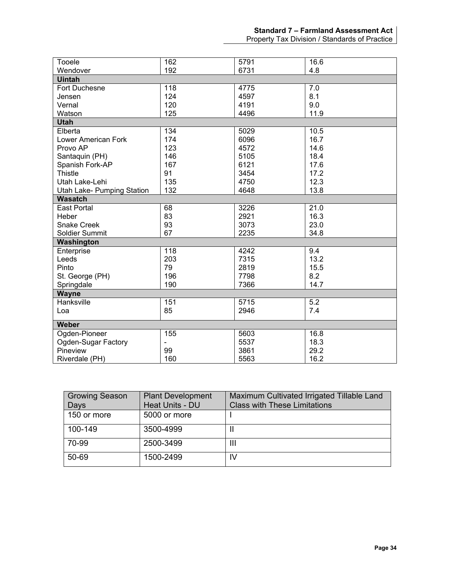Property Tax Division / Standards of Practice

| Tooele                     | 162 | 5791 | 16.6             |
|----------------------------|-----|------|------------------|
| Wendover                   | 192 | 6731 | 4.8              |
| <b>Uintah</b>              |     |      |                  |
| Fort Duchesne              | 118 | 4775 | 7.0              |
| Jensen                     | 124 | 4597 | 8.1              |
| Vernal                     | 120 | 4191 | 9.0              |
| Watson                     | 125 | 4496 | 11.9             |
| <b>Utah</b>                |     |      |                  |
| Elberta                    | 134 | 5029 | 10.5             |
| <b>Lower American Fork</b> | 174 | 6096 | 16.7             |
| Provo AP                   | 123 | 4572 | 14.6             |
| Santaquin (PH)             | 146 | 5105 | 18.4             |
| Spanish Fork-AP            | 167 | 6121 | 17.6             |
| <b>Thistle</b>             | 91  | 3454 | 17.2             |
| Utah Lake-Lehi             | 135 | 4750 | 12.3             |
| Utah Lake- Pumping Station | 132 | 4648 | 13.8             |
| <b>Wasatch</b>             |     |      |                  |
| <b>East Portal</b>         | 68  | 3226 | 21.0             |
| Heber                      | 83  | 2921 | 16.3             |
| <b>Snake Creek</b>         | 93  | 3073 | 23.0             |
| Soldier Summit             | 67  | 2235 | 34.8             |
| Washington                 |     |      |                  |
| Enterprise                 | 118 | 4242 | 9.4              |
| Leeds                      | 203 | 7315 | 13.2             |
| Pinto                      | 79  | 2819 | 15.5             |
| St. George (PH)            | 196 | 7798 | 8.2              |
| Springdale                 | 190 | 7366 | 14.7             |
| <b>Wayne</b>               |     |      |                  |
| Hanksville                 | 151 | 5715 | $\overline{5.2}$ |
| Loa                        | 85  | 2946 | 7.4              |
|                            |     |      |                  |
| Weber                      |     |      |                  |
| Ogden-Pioneer              | 155 | 5603 | 16.8             |
| Ogden-Sugar Factory        |     | 5537 | 18.3             |
| Pineview                   | 99  | 3861 | 29.2             |
| Riverdale (PH)             | 160 | 5563 | 16.2             |

| <b>Growing Season</b> | <b>Plant Development</b> | Maximum Cultivated Irrigated Tillable Land |
|-----------------------|--------------------------|--------------------------------------------|
| Days                  | Heat Units - DU          | <b>Class with These Limitations</b>        |
| 150 or more           | 5000 or more             |                                            |
| 100-149               | 3500-4999                | Ш                                          |
| 70-99                 | 2500-3499                | Ш                                          |
| 50-69                 | 1500-2499                | IV                                         |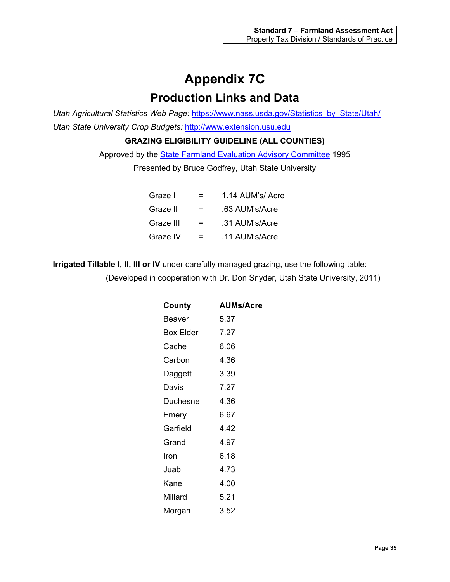# **Appendix 7C Production Links and Data**

<span id="page-39-1"></span><span id="page-39-0"></span>*Utah Agricultural Statistics Web Page:* [https://www.nass.usda.gov/Statistics\\_by\\_State/Utah/](https://www.nass.usda.gov/Statistics_by_State/Utah/) *Utah State University Crop Budgets:* [http://www.extension.usu.edu](http://www.extension.usu.edu/)

**GRAZING ELIGIBILITY GUIDELINE (ALL COUNTIES)**

Approved by the **State Farmland Evaluation Advisory Committee 1995** 

Presented by Bruce Godfrey, Utah State University

| Graze I   | =   | 1.14 AUM's/ Acre |
|-----------|-----|------------------|
| Graze II  | $=$ | .63 AUM's/Acre   |
| Graze III | $=$ | .31 AUM's/Acre   |
| Graze IV  | =   | .11 AUM's/Acre   |

**Irrigated Tillable I, II, III or IV** under carefully managed grazing, use the following table: (Developed in cooperation with Dr. Don Snyder, Utah State University, 2011)

| County    | <b>AUMs/Acre</b> |
|-----------|------------------|
| Beaver    | 5.37             |
| Box Elder | 7.27             |
| Cache     | 6.06             |
| Carbon    | 4.36             |
| Daggett   | 3.39             |
| Davis     | 7.27             |
| Duchesne  | 4.36             |
| Emery     | 6.67             |
| Garfield  | 4.42             |
| Grand     | 4.97             |
| Iron      | 6.18             |
| Juab      | 4.73             |
| Kane      | 4.00             |
| Millard   | 5.21             |
| Morgan    | 3.52             |